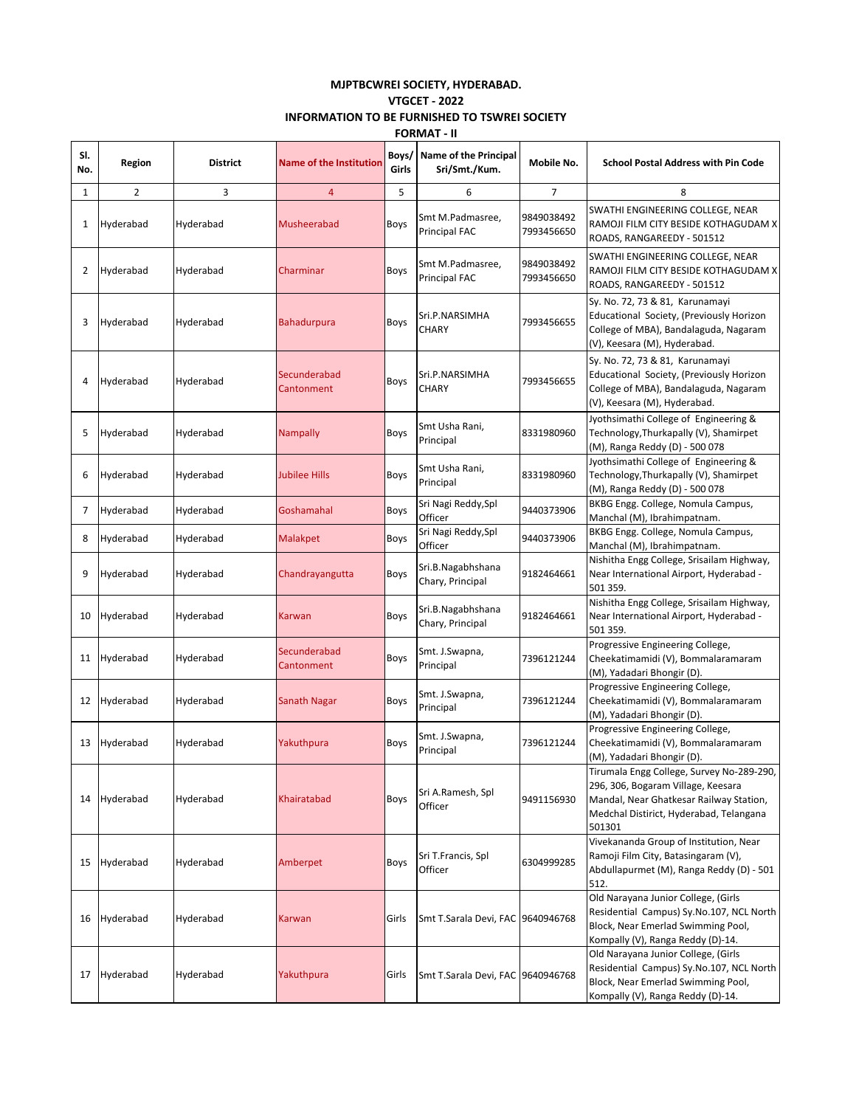## **MJPTBCWREI SOCIETY, HYDERABAD. VTGCET - 2022 INFORMATION TO BE FURNISHED TO TSWREI SOCIETY FORMAT - II**

| SI.<br>No. | Region         | <b>District</b> | <b>Name of the Institution</b> | Boys/<br>Girls | <b>Name of the Principal</b><br>Sri/Smt./Kum. | Mobile No.               | <b>School Postal Address with Pin Code</b>                                                                                                                                      |
|------------|----------------|-----------------|--------------------------------|----------------|-----------------------------------------------|--------------------------|---------------------------------------------------------------------------------------------------------------------------------------------------------------------------------|
| 1          | $\overline{2}$ | 3               | $\overline{4}$                 | 5              | 6                                             | 7                        | 8                                                                                                                                                                               |
| 1          | Hyderabad      | Hyderabad       | Musheerabad                    | Boys           | Smt M.Padmasree,<br><b>Principal FAC</b>      | 9849038492<br>7993456650 | SWATHI ENGINEERING COLLEGE, NEAR<br>RAMOJI FILM CITY BESIDE KOTHAGUDAM X<br>ROADS, RANGAREEDY - 501512                                                                          |
| 2          | Hyderabad      | Hyderabad       | Charminar                      | Boys           | Smt M.Padmasree,<br><b>Principal FAC</b>      | 9849038492<br>7993456650 | SWATHI ENGINEERING COLLEGE, NEAR<br>RAMOJI FILM CITY BESIDE KOTHAGUDAM X<br>ROADS, RANGAREEDY - 501512                                                                          |
| 3          | Hyderabad      | Hyderabad       | <b>Bahadurpura</b>             | Boys           | Sri.P.NARSIMHA<br><b>CHARY</b>                | 7993456655               | Sy. No. 72, 73 & 81, Karunamayi<br>Educational Society, (Previously Horizon<br>College of MBA), Bandalaguda, Nagaram<br>(V), Keesara (M), Hyderabad.                            |
| 4          | Hyderabad      | Hyderabad       | Secunderabad<br>Cantonment     | Boys           | Sri.P.NARSIMHA<br><b>CHARY</b>                | 7993456655               | Sy. No. 72, 73 & 81, Karunamayi<br>Educational Society, (Previously Horizon<br>College of MBA), Bandalaguda, Nagaram<br>(V), Keesara (M), Hyderabad.                            |
| 5          | Hyderabad      | Hyderabad       | <b>Nampally</b>                | Boys           | Smt Usha Rani,<br>Principal                   | 8331980960               | Jyothsimathi College of Engineering &<br>Technology, Thurkapally (V), Shamirpet<br>(M), Ranga Reddy (D) - 500 078                                                               |
| 6          | Hyderabad      | Hyderabad       | Jubilee Hills                  | Boys           | Smt Usha Rani,<br>Principal                   | 8331980960               | Jyothsimathi College of Engineering &<br>Technology, Thurkapally (V), Shamirpet<br>(M), Ranga Reddy (D) - 500 078                                                               |
| 7          | Hyderabad      | Hyderabad       | Goshamahal                     | Boys           | Sri Nagi Reddy, Spl<br>Officer                | 9440373906               | BKBG Engg. College, Nomula Campus,<br>Manchal (M), Ibrahimpatnam.                                                                                                               |
| 8          | Hyderabad      | Hyderabad       | <b>Malakpet</b>                | Boys           | Sri Nagi Reddy, Spl<br>Officer                | 9440373906               | BKBG Engg. College, Nomula Campus,<br>Manchal (M), Ibrahimpatnam.                                                                                                               |
| 9          | Hyderabad      | Hyderabad       | Chandrayangutta                | Boys           | Sri.B.Nagabhshana<br>Chary, Principal         | 9182464661               | Nishitha Engg College, Srisailam Highway,<br>Near International Airport, Hyderabad -<br>501 359.                                                                                |
| 10         | Hyderabad      | Hyderabad       | Karwan                         | Boys           | Sri.B.Nagabhshana<br>Chary, Principal         | 9182464661               | Nishitha Engg College, Srisailam Highway,<br>Near International Airport, Hyderabad -<br>501 359.                                                                                |
| 11         | Hyderabad      | Hyderabad       | Secunderabad<br>Cantonment     | Boys           | Smt. J.Swapna,<br>Principal                   | 7396121244               | Progressive Engineering College,<br>Cheekatimamidi (V), Bommalaramaram<br>(M), Yadadari Bhongir (D).                                                                            |
| 12         | Hyderabad      | Hyderabad       | <b>Sanath Nagar</b>            | Boys           | Smt. J.Swapna,<br>Principal                   | 7396121244               | Progressive Engineering College,<br>Cheekatimamidi (V), Bommalaramaram<br>(M), Yadadari Bhongir (D).                                                                            |
| 13         | Hyderabad      | Hyderabad       | Yakuthpura                     | Boys           | Smt. J.Swapna,<br>Principal                   | 7396121244               | Progressive Engineering College,<br>Cheekatimamidi (V), Bommalaramaram<br>(M), Yadadari Bhongir (D).                                                                            |
| 14         | Hyderabad      | Hyderabad       | Khairatabad                    | Boys           | Sri A.Ramesh, Spl<br>Officer                  | 9491156930               | Tirumala Engg College, Survey No-289-290,<br>296, 306, Bogaram Village, Keesara<br>Mandal, Near Ghatkesar Railway Station,<br>Medchal Distirict, Hyderabad, Telangana<br>501301 |
| 15         | Hyderabad      | Hyderabad       | Amberpet                       | Boys           | Sri T.Francis, Spl<br>Officer                 | 6304999285               | Vivekananda Group of Institution, Near<br>Ramoji Film City, Batasingaram (V),<br>Abdullapurmet (M), Ranga Reddy (D) - 501<br>512.                                               |
| 16         | Hyderabad      | Hyderabad       | Karwan                         | Girls          | Smt T.Sarala Devi, FAC 9640946768             |                          | Old Narayana Junior College, (Girls<br>Residential Campus) Sy.No.107, NCL North<br>Block, Near Emerlad Swimming Pool,<br>Kompally (V), Ranga Reddy (D)-14.                      |
| 17         | Hyderabad      | Hyderabad       | Yakuthpura                     | Girls          | Smt T.Sarala Devi, FAC 9640946768             |                          | Old Narayana Junior College, (Girls<br>Residential Campus) Sy.No.107, NCL North<br>Block, Near Emerlad Swimming Pool,<br>Kompally (V), Ranga Reddy (D)-14.                      |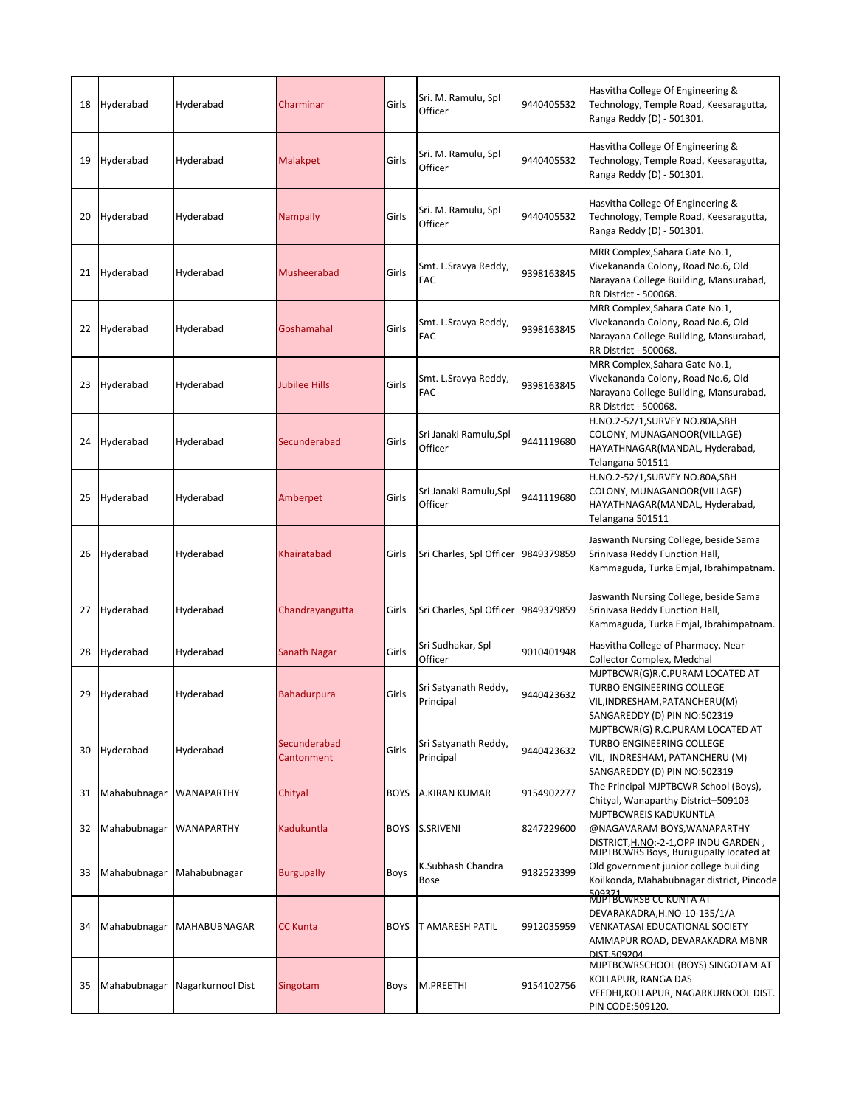| 18 | Hyderabad    | Hyderabad         | Charminar                  | Girls       | Sri. M. Ramulu, Spl<br>Officer      | 9440405532 | Hasvitha College Of Engineering &<br>Technology, Temple Road, Keesaragutta,<br>Ranga Reddy (D) - 501301.                                                  |
|----|--------------|-------------------|----------------------------|-------------|-------------------------------------|------------|-----------------------------------------------------------------------------------------------------------------------------------------------------------|
| 19 | Hyderabad    | Hyderabad         | Malakpet                   | Girls       | Sri. M. Ramulu, Spl<br>Officer      | 9440405532 | Hasvitha College Of Engineering &<br>Technology, Temple Road, Keesaragutta,<br>Ranga Reddy (D) - 501301.                                                  |
| 20 | Hyderabad    | Hyderabad         | <b>Nampally</b>            | Girls       | Sri. M. Ramulu, Spl<br>Officer      | 9440405532 | Hasvitha College Of Engineering &<br>Technology, Temple Road, Keesaragutta,<br>Ranga Reddy (D) - 501301.                                                  |
| 21 | Hyderabad    | Hyderabad         | Musheerabad                | Girls       | Smt. L.Sravya Reddy,<br>FAC         | 9398163845 | MRR Complex, Sahara Gate No.1,<br>Vivekananda Colony, Road No.6, Old<br>Narayana College Building, Mansurabad,<br>RR District - 500068.                   |
| 22 | Hyderabad    | Hyderabad         | Goshamahal                 | Girls       | Smt. L.Sravya Reddy,<br>FAC         | 9398163845 | MRR Complex, Sahara Gate No.1,<br>Vivekananda Colony, Road No.6, Old<br>Narayana College Building, Mansurabad,<br>RR District - 500068.                   |
| 23 | Hyderabad    | Hyderabad         | Jubilee Hills              | Girls       | Smt. L.Sravya Reddy,<br>FAC         | 9398163845 | MRR Complex, Sahara Gate No.1,<br>Vivekananda Colony, Road No.6, Old<br>Narayana College Building, Mansurabad,<br>RR District - 500068.                   |
| 24 | Hyderabad    | Hyderabad         | Secunderabad               | Girls       | Sri Janaki Ramulu, Spl<br>Officer   | 9441119680 | H.NO.2-52/1,SURVEY NO.80A,SBH<br>COLONY, MUNAGANOOR(VILLAGE)<br>HAYATHNAGAR(MANDAL, Hyderabad,<br>Telangana 501511                                        |
| 25 | Hyderabad    | Hyderabad         | Amberpet                   | Girls       | Sri Janaki Ramulu,Spl<br>Officer    | 9441119680 | H.NO.2-52/1,SURVEY NO.80A,SBH<br>COLONY, MUNAGANOOR(VILLAGE)<br>HAYATHNAGAR(MANDAL, Hyderabad,<br>Telangana 501511                                        |
| 26 | Hyderabad    | Hyderabad         | Khairatabad                | Girls       | Sri Charles, Spl Officer 9849379859 |            | Jaswanth Nursing College, beside Sama<br>Srinivasa Reddy Function Hall,<br>Kammaguda, Turka Emjal, Ibrahimpatnam.                                         |
| 27 | Hyderabad    | Hyderabad         | Chandrayangutta            | Girls       | Sri Charles, Spl Officer 9849379859 |            | Jaswanth Nursing College, beside Sama<br>Srinivasa Reddy Function Hall,<br>Kammaguda, Turka Emjal, Ibrahimpatnam.                                         |
| 28 | Hyderabad    | Hyderabad         | Sanath Nagar               | Girls       | Sri Sudhakar, Spl<br>Officer        | 9010401948 | Hasvitha College of Pharmacy, Near<br>Collector Complex, Medchal                                                                                          |
| 29 | Hyderabad    | Hyderabad         | <b>Bahadurpura</b>         | Girls       | Sri Satyanath Reddy,<br>Principal   | 9440423632 | MJPTBCWR(G)R.C.PURAM LOCATED AT<br>TURBO ENGINEERING COLLEGE<br>VIL,INDRESHAM,PATANCHERU(M)<br>SANGAREDDY (D) PIN NO:502319                               |
| 30 | Hyderabad    | Hyderabad         | Secunderabad<br>Cantonment | Girls       | Sri Satyanath Reddy,<br>Principal   | 9440423632 | MJPTBCWR(G) R.C.PURAM LOCATED AT<br>TURBO ENGINEERING COLLEGE<br>VIL, INDRESHAM, PATANCHERU (M)<br>SANGAREDDY (D) PIN NO:502319                           |
| 31 | Mahabubnagar | WANAPARTHY        | Chityal                    | <b>BOYS</b> | A.KIRAN KUMAR                       | 9154902277 | The Principal MJPTBCWR School (Boys),<br>Chityal, Wanaparthy District-509103                                                                              |
| 32 | Mahabubnagar | <b>WANAPARTHY</b> | Kadukuntla                 | <b>BOYS</b> | S.SRIVENI                           | 8247229600 | MJPTBCWREIS KADUKUNTLA<br>@NAGAVARAM BOYS, WANAPARTHY<br>DISTRICT, H.NO:-2-1, OPP INDU GARDEN                                                             |
| 33 | Mahabubnagar | Mahabubnagar      | <b>Burgupally</b>          | Boys        | K.Subhash Chandra<br>Bose           | 9182523399 | MJPTBCWRS Boys, Burugupally located at<br>Old government junior college building<br>Koilkonda, Mahabubnagar district, Pincode                             |
| 34 | Mahabubnagar | MAHABUBNAGAR      | <b>CC Kunta</b>            | <b>BOYS</b> | T AMARESH PATIL                     | 9912035959 | <u>509371</u><br>MJPTBCWRSB CC KUNTA AT<br>DEVARAKADRA,H.NO-10-135/1/A<br>VENKATASAI EDUCATIONAL SOCIETY<br>AMMAPUR ROAD, DEVARAKADRA MBNR<br>DIST.509204 |
| 35 | Mahabubnagar | Nagarkurnool Dist | Singotam                   | Boys        | M.PREETHI                           | 9154102756 | MJPTBCWRSCHOOL (BOYS) SINGOTAM AT<br>KOLLAPUR, RANGA DAS<br>VEEDHI,KOLLAPUR, NAGARKURNOOL DIST.<br>PIN CODE:509120.                                       |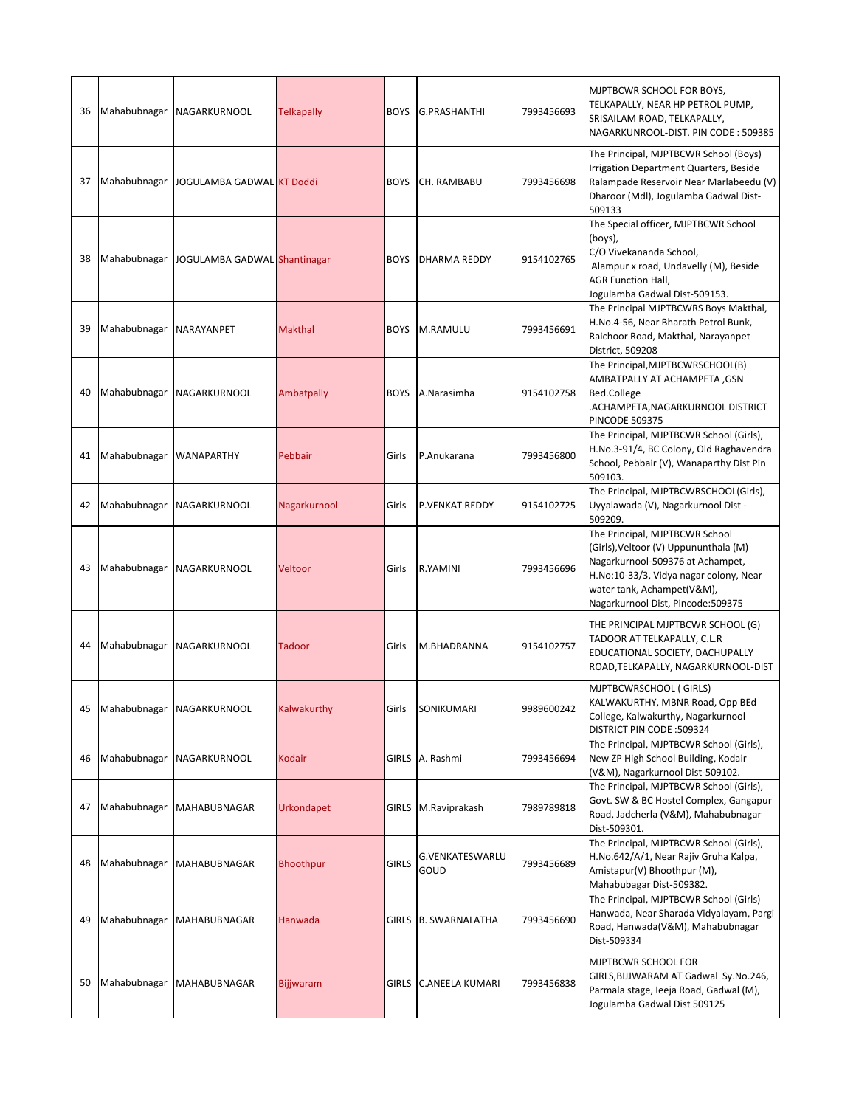| 36 | Mahabubnagar | <b>NAGARKURNOOL</b>          | <b>Telkapally</b> | <b>BOYS</b>  | <b>G.PRASHANTHI</b>            | 7993456693 | MJPTBCWR SCHOOL FOR BOYS,<br>TELKAPALLY, NEAR HP PETROL PUMP,<br>SRISAILAM ROAD, TELKAPALLY,<br>NAGARKUNROOL-DIST. PIN CODE: 509385                                                                                       |
|----|--------------|------------------------------|-------------------|--------------|--------------------------------|------------|---------------------------------------------------------------------------------------------------------------------------------------------------------------------------------------------------------------------------|
| 37 | Mahabubnagar | JOGULAMBA GADWAL KT Doddi    |                   | <b>BOYS</b>  | CH. RAMBABU                    | 7993456698 | The Principal, MJPTBCWR School (Boys)<br>Irrigation Department Quarters, Beside<br>Ralampade Reservoir Near Marlabeedu (V)<br>Dharoor (Mdl), Jogulamba Gadwal Dist-<br>509133                                             |
| 38 | Mahabubnagar | JOGULAMBA GADWAL Shantinagar |                   | <b>BOYS</b>  | DHARMA REDDY                   | 9154102765 | The Special officer, MJPTBCWR School<br>(boys),<br>C/O Vivekananda School,<br>Alampur x road, Undavelly (M), Beside<br><b>AGR Function Hall,</b><br>Jogulamba Gadwal Dist-509153.                                         |
| 39 | Mahabubnagar | NARAYANPET                   | <b>Makthal</b>    | <b>BOYS</b>  | M.RAMULU                       | 7993456691 | The Principal MJPTBCWRS Boys Makthal,<br>H.No.4-56, Near Bharath Petrol Bunk,<br>Raichoor Road, Makthal, Narayanpet<br>District, 509208                                                                                   |
| 40 | Mahabubnagar | NAGARKURNOOL                 | <b>Ambatpally</b> | <b>BOYS</b>  | A.Narasimha                    | 9154102758 | The Principal, MJPTBCWRSCHOOL(B)<br>AMBATPALLY AT ACHAMPETA , GSN<br>Bed.College<br>ACHAMPETA, NAGARKURNOOL DISTRICT.<br><b>PINCODE 509375</b>                                                                            |
| 41 | Mahabubnagar | <b>WANAPARTHY</b>            | Pebbair           | Girls        | P.Anukarana                    | 7993456800 | The Principal, MJPTBCWR School (Girls),<br>H.No.3-91/4, BC Colony, Old Raghavendra<br>School, Pebbair (V), Wanaparthy Dist Pin<br>509103.                                                                                 |
| 42 | Mahabubnagar | <b>NAGARKURNOOL</b>          | Nagarkurnool      | Girls        | <b>P.VENKAT REDDY</b>          | 9154102725 | The Principal, MJPTBCWRSCHOOL(Girls),<br>Uyyalawada (V), Nagarkurnool Dist -<br>509209.                                                                                                                                   |
| 43 | Mahabubnagar | NAGARKURNOOL                 | Veltoor           | Girls        | <b>R.YAMINI</b>                | 7993456696 | The Principal, MJPTBCWR School<br>(Girls), Veltoor (V) Uppununthala (M)<br>Nagarkurnool-509376 at Achampet,<br>H.No:10-33/3, Vidya nagar colony, Near<br>water tank, Achampet(V&M),<br>Nagarkurnool Dist, Pincode: 509375 |
| 44 | Mahabubnagar | NAGARKURNOOL                 | <b>Tadoor</b>     | Girls        | M.BHADRANNA                    | 9154102757 | THE PRINCIPAL MJPTBCWR SCHOOL (G)<br>TADOOR AT TELKAPALLY, C.L.R<br>EDUCATIONAL SOCIETY, DACHUPALLY<br>ROAD, TELKAPALLY, NAGARKURNOOL-DIST                                                                                |
| 45 | Mahabubnagar | NAGARKURNOOL                 | Kalwakurthy       | Girls        | SONIKUMARI                     | 9989600242 | MJPTBCWRSCHOOL (GIRLS)<br>KALWAKURTHY, MBNR Road, Opp BEd<br>College, Kalwakurthy, Nagarkurnool<br>DISTRICT PIN CODE : 509324                                                                                             |
| 46 | Mahabubnagar | NAGARKURNOOL                 | Kodair            | <b>GIRLS</b> | A. Rashmi                      | 7993456694 | The Principal, MJPTBCWR School (Girls),<br>New ZP High School Building, Kodair<br>(V&M), Nagarkurnool Dist-509102.                                                                                                        |
| 47 | Mahabubnagar | <b>MAHABUBNAGAR</b>          | Urkondapet        | <b>GIRLS</b> | M.Raviprakash                  | 7989789818 | The Principal, MJPTBCWR School (Girls),<br>Govt. SW & BC Hostel Complex, Gangapur<br>Road, Jadcherla (V&M), Mahabubnagar<br>Dist-509301.                                                                                  |
| 48 | Mahabubnagar | <b>MAHABUBNAGAR</b>          | <b>Bhoothpur</b>  | <b>GIRLS</b> | <b>G.VENKATESWARLU</b><br>GOUD | 7993456689 | The Principal, MJPTBCWR School (Girls),<br>H.No.642/A/1, Near Rajiv Gruha Kalpa,<br>Amistapur(V) Bhoothpur (M),<br>Mahabubagar Dist-509382.                                                                               |
| 49 | Mahabubnagar | MAHABUBNAGAR                 | Hanwada           |              | GIRLS B. SWARNALATHA           | 7993456690 | The Principal, MJPTBCWR School (Girls)<br>Hanwada, Near Sharada Vidyalayam, Pargi<br>Road, Hanwada(V&M), Mahabubnagar<br>Dist-509334                                                                                      |
| 50 | Mahabubnagar | <b>MAHABUBNAGAR</b>          | <b>Bijjwaram</b>  | <b>GIRLS</b> | <b>C.ANEELA KUMARI</b>         | 7993456838 | MJPTBCWR SCHOOL FOR<br>GIRLS, BIJJWARAM AT Gadwal Sy.No.246,<br>Parmala stage, leeja Road, Gadwal (M),<br>Jogulamba Gadwal Dist 509125                                                                                    |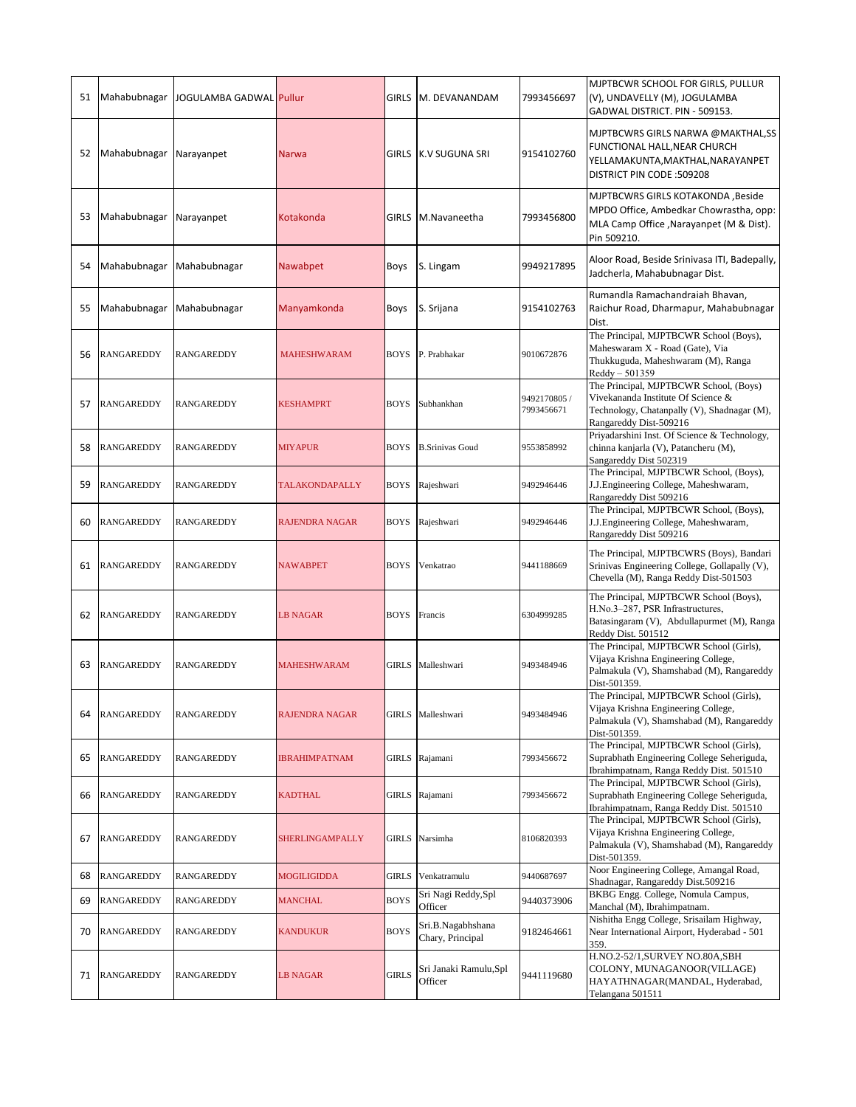| 51 | Mahabubnagar      | JOGULAMBA GADWAL Pullur |                       | <b>GIRLS</b> | M. DEVANANDAM                         | 7993456697                 | MJPTBCWR SCHOOL FOR GIRLS, PULLUR<br>(V), UNDAVELLY (M), JOGULAMBA<br>GADWAL DISTRICT. PIN - 509153.                                                  |
|----|-------------------|-------------------------|-----------------------|--------------|---------------------------------------|----------------------------|-------------------------------------------------------------------------------------------------------------------------------------------------------|
| 52 | Mahabubnagar      | Narayanpet              | <b>Narwa</b>          | GIRLS        | K.V SUGUNA SRI                        | 9154102760                 | MJPTBCWRS GIRLS NARWA @MAKTHAL,SS<br>FUNCTIONAL HALL, NEAR CHURCH<br>YELLAMAKUNTA, MAKTHAL, NARAYANPET<br>DISTRICT PIN CODE :509208                   |
| 53 | Mahabubnagar      | Narayanpet              | Kotakonda             | <b>GIRLS</b> | M.Navaneetha                          | 7993456800                 | MJPTBCWRS GIRLS KOTAKONDA ,Beside<br>MPDO Office, Ambedkar Chowrastha, opp:<br>MLA Camp Office , Narayanpet (M & Dist).<br>Pin 509210.                |
| 54 | Mahabubnagar      | Mahabubnagar            | Nawabpet              | Boys         | S. Lingam                             | 9949217895                 | Aloor Road, Beside Srinivasa ITI, Badepally,<br>Jadcherla, Mahabubnagar Dist.                                                                         |
| 55 | Mahabubnagar      | Mahabubnagar            | Manyamkonda           | Boys         | S. Srijana                            | 9154102763                 | Rumandla Ramachandraiah Bhavan,<br>Raichur Road, Dharmapur, Mahabubnagar<br>Dist.                                                                     |
| 56 | <b>RANGAREDDY</b> | <b>RANGAREDDY</b>       | <b>MAHESHWARAM</b>    | <b>BOYS</b>  | P. Prabhakar                          | 9010672876                 | The Principal, MJPTBCWR School (Boys),<br>Maheswaram X - Road (Gate), Via<br>Thukkuguda, Maheshwaram (M), Ranga<br>Reddy - 501359                     |
| 57 | <b>RANGAREDDY</b> | <b>RANGAREDDY</b>       | KESHAMPRT             | <b>BOYS</b>  | Subhankhan                            | 9492170805 /<br>7993456671 | The Principal, MJPTBCWR School, (Boys)<br>Vivekananda Institute Of Science &<br>Technology, Chatanpally (V), Shadnagar (M),<br>Rangareddy Dist-509216 |
| 58 | <b>RANGAREDDY</b> | <b>RANGAREDDY</b>       | <b>MIYAPUR</b>        | <b>BOYS</b>  | <b>B.Srinivas Goud</b>                | 9553858992                 | Priyadarshini Inst. Of Science & Technology,<br>chinna kanjarla (V), Patancheru (M),<br>Sangareddy Dist 502319                                        |
| 59 | <b>RANGAREDDY</b> | RANGAREDDY              | <b>TALAKONDAPALLY</b> | <b>BOYS</b>  | Rajeshwari                            | 9492946446                 | The Principal, MJPTBCWR School, (Boys),<br>J.J.Engineering College, Maheshwaram,<br>Rangareddy Dist 509216                                            |
| 60 | <b>RANGAREDDY</b> | <b>RANGAREDDY</b>       | <b>RAJENDRA NAGAR</b> | <b>BOYS</b>  | Rajeshwari                            | 9492946446                 | The Principal, MJPTBCWR School, (Boys),<br>J.J.Engineering College, Maheshwaram,<br>Rangareddy Dist 509216                                            |
| 61 | <b>RANGAREDDY</b> | <b>RANGAREDDY</b>       | <b>NAWABPET</b>       | <b>BOYS</b>  | Venkatrao                             | 9441188669                 | The Principal, MJPTBCWRS (Boys), Bandari<br>Srinivas Engineering College, Gollapally (V),<br>Chevella (M), Ranga Reddy Dist-501503                    |
| 62 | <b>RANGAREDDY</b> | <b>RANGAREDDY</b>       | <b>LB NAGAR</b>       | <b>BOYS</b>  | Francis                               | 6304999285                 | The Principal, MJPTBCWR School (Boys),<br>H.No.3-287, PSR Infrastructures,<br>Batasingaram (V), Abdullapurmet (M), Ranga<br>Reddy Dist. 501512        |
| 63 | <b>RANGAREDDY</b> | <b>RANGAREDDY</b>       | <b>MAHESHWARAM</b>    | <b>GIRLS</b> | Malleshwari                           | 9493484946                 | The Principal, MJPTBCWR School (Girls),<br>Vijaya Krishna Engineering College,<br>Palmakula (V), Shamshabad (M), Rangareddy<br>Dist-501359.           |
| 64 | <b>RANGAREDDY</b> | <b>RANGAREDDY</b>       | <b>RAJENDRA NAGAR</b> | <b>GIRLS</b> | Malleshwari                           | 9493484946                 | The Principal, MJPTBCWR School (Girls),<br>Vijaya Krishna Engineering College,<br>Palmakula (V), Shamshabad (M), Rangareddy<br>Dist-501359.           |
| 65 | <b>RANGAREDDY</b> | RANGAREDDY              | <b>IBRAHIMPATNAM</b>  | <b>GIRLS</b> | Rajamani                              | 7993456672                 | The Principal, MJPTBCWR School (Girls),<br>Suprabhath Engineering College Seheriguda,<br>Ibrahimpatnam, Ranga Reddy Dist. 501510                      |
| 66 | <b>RANGAREDDY</b> | RANGAREDDY              | <b>KADTHAL</b>        | <b>GIRLS</b> | Rajamani                              | 7993456672                 | The Principal, MJPTBCWR School (Girls),<br>Suprabhath Engineering College Seheriguda,<br>Ibrahimpatnam, Ranga Reddy Dist. 501510                      |
| 67 | <b>RANGAREDDY</b> | RANGAREDDY              | SHERLINGAMPALLY       |              | GIRLS Narsimha                        | 8106820393                 | The Principal, MJPTBCWR School (Girls),<br>Vijaya Krishna Engineering College,<br>Palmakula (V), Shamshabad (M), Rangareddy<br>Dist-501359.           |
| 68 | <b>RANGAREDDY</b> | RANGAREDDY              | MOGILIGIDDA           | <b>GIRLS</b> | Venkatramulu                          | 9440687697                 | Noor Engineering College, Amangal Road,<br>Shadnagar, Rangareddy Dist.509216                                                                          |
| 69 | <b>RANGAREDDY</b> | RANGAREDDY              | <b>MANCHAL</b>        | <b>BOYS</b>  | Sri Nagi Reddy, Spl<br>Officer        | 9440373906                 | BKBG Engg. College, Nomula Campus,<br>Manchal (M), Ibrahimpatnam.                                                                                     |
| 70 | <b>RANGAREDDY</b> | RANGAREDDY              | KANDUKUR              | <b>BOYS</b>  | Sri.B.Nagabhshana<br>Chary, Principal | 9182464661                 | Nishitha Engg College, Srisailam Highway,<br>Near International Airport, Hyderabad - 501<br>359.                                                      |
| 71 | <b>RANGAREDDY</b> | <b>RANGAREDDY</b>       | <b>LB NAGAR</b>       | <b>GIRLS</b> | Sri Janaki Ramulu,Spl<br>Officer      | 9441119680                 | H.NO.2-52/1,SURVEY NO.80A,SBH<br>COLONY, MUNAGANOOR(VILLAGE)<br>HAYATHNAGAR(MANDAL, Hyderabad,<br>Telangana 501511                                    |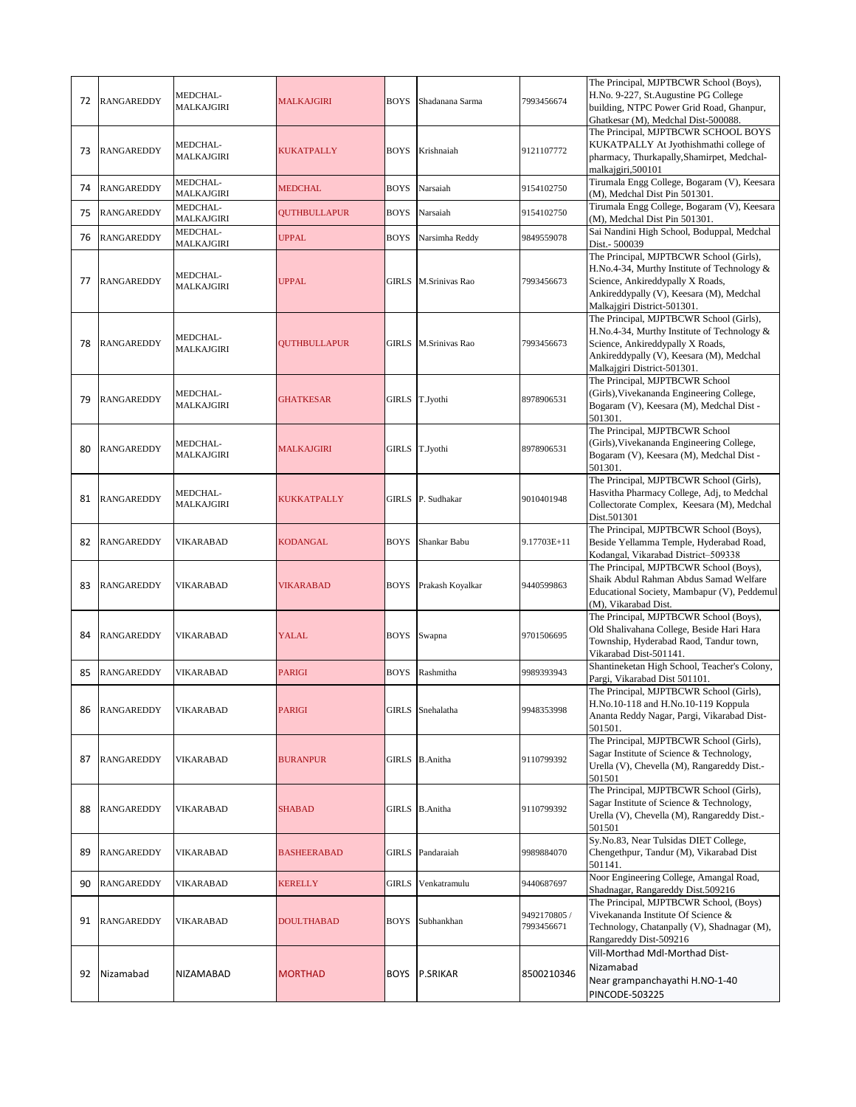| 72 | <b>RANGAREDDY</b> | MEDCHAL-<br><b>MALKAJGIRI</b> | MALKAJGIRI          | <b>BOYS</b>  | Shadanana Sarma      | 7993456674                 | The Principal, MJPTBCWR School (Boys),<br>H.No. 9-227, St.Augustine PG College<br>building, NTPC Power Grid Road, Ghanpur,<br>Ghatkesar (M), Medchal Dist-500088.                                     |
|----|-------------------|-------------------------------|---------------------|--------------|----------------------|----------------------------|-------------------------------------------------------------------------------------------------------------------------------------------------------------------------------------------------------|
| 73 | <b>RANGAREDDY</b> | MEDCHAL-<br>MALKAJGIRI        | KUKATPALLY          | <b>BOYS</b>  | Krishnaiah           | 9121107772                 | The Principal, MJPTBCWR SCHOOL BOYS<br>KUKATPALLY At Jyothishmathi college of<br>pharmacy, Thurkapally, Shamirpet, Medchal-<br>malkajgiri,500101                                                      |
| 74 | <b>RANGAREDDY</b> | MEDCHAL-<br>MALKAJGIRI        | <b>MEDCHAL</b>      | <b>BOYS</b>  | Narsaiah             | 9154102750                 | Tirumala Engg College, Bogaram (V), Keesara<br>(M), Medchal Dist Pin 501301.                                                                                                                          |
| 75 | <b>RANGAREDDY</b> | MEDCHAL-<br>MALKAJGIRI        | <b>OUTHBULLAPUR</b> | <b>BOYS</b>  | Narsaiah             | 9154102750                 | Tirumala Engg College, Bogaram (V), Keesara<br>(M), Medchal Dist Pin 501301.                                                                                                                          |
| 76 | <b>RANGAREDDY</b> | MEDCHAL-<br>MALKAJGIRI        | <b>UPPAL</b>        | <b>BOYS</b>  | Narsimha Reddy       | 9849559078                 | Sai Nandini High School, Boduppal, Medchal<br>Dist.- 500039                                                                                                                                           |
| 77 | <b>RANGAREDDY</b> | MEDCHAL-<br>MALKAJGIRI        | <b>UPPAL</b>        | <b>GIRLS</b> | M.Srinivas Rao       | 7993456673                 | The Principal, MJPTBCWR School (Girls),<br>H.No.4-34, Murthy Institute of Technology &<br>Science, Ankireddypally X Roads,<br>Ankireddypally (V), Keesara (M), Medchal<br>Malkajgiri District-501301. |
| 78 | <b>RANGAREDDY</b> | MEDCHAL-<br>MALKAJGIRI        | QUTHBULLAPUR        |              | GIRLS M.Srinivas Rao | 7993456673                 | The Principal, MJPTBCWR School (Girls),<br>H.No.4-34, Murthy Institute of Technology &<br>Science, Ankireddypally X Roads,<br>Ankireddypally (V), Keesara (M), Medchal<br>Malkajgiri District-501301. |
| 79 | <b>RANGAREDDY</b> | MEDCHAL-<br><b>MALKAJGIRI</b> | GHATKESAR           | <b>GIRLS</b> | T.Jyothi             | 8978906531                 | The Principal, MJPTBCWR School<br>(Girls), Vivekananda Engineering College,<br>Bogaram (V), Keesara (M), Medchal Dist -<br>501301.                                                                    |
| 80 | <b>RANGAREDDY</b> | MEDCHAL-<br><b>MALKAJGIRI</b> | <b>MALKAJGIRI</b>   | GIRLS        | T.Jyothi             | 8978906531                 | The Principal, MJPTBCWR School<br>(Girls), Vivekananda Engineering College,<br>Bogaram (V), Keesara (M), Medchal Dist -<br>501301.                                                                    |
| 81 | <b>RANGAREDDY</b> | MEDCHAL-<br>MALKAJGIRI        | KUKKATPALLY         | GIRLS        | P. Sudhakar          | 9010401948                 | The Principal, MJPTBCWR School (Girls),<br>Hasvitha Pharmacy College, Adj, to Medchal<br>Collectorate Complex, Keesara (M), Medchal<br>Dist.501301                                                    |
| 82 | <b>RANGAREDDY</b> | VIKARABAD                     | KODANGAL            | <b>BOYS</b>  | Shankar Babu         | 9.17703E+11                | The Principal, MJPTBCWR School (Boys),<br>Beside Yellamma Temple, Hyderabad Road,<br>Kodangal, Vikarabad District-509338                                                                              |
| 83 | <b>RANGAREDDY</b> | VIKARABAD                     | VIKARABAD           | <b>BOYS</b>  | Prakash Koyalkar     | 9440599863                 | The Principal, MJPTBCWR School (Boys),<br>Shaik Abdul Rahman Abdus Samad Welfare<br>Educational Society, Mambapur (V), Peddemul<br>(M), Vikarabad Dist.                                               |
| 84 | <b>RANGAREDDY</b> | <b>VIKARABAD</b>              | YALAL               | <b>BOYS</b>  | Swapna               | 9701506695                 | The Principal, MJPTBCWR School (Boys),<br>Old Shalivahana College, Beside Hari Hara<br>Township, Hyderabad Raod, Tandur town,<br>Vikarabad Dist-501141.                                               |
| 85 | <b>RANGAREDDY</b> | VIKARABAD                     | <b>PARIGI</b>       | BOYS         | Rashmitha            | 9989393943                 | Shantineketan High School, Teacher's Colony,<br>Pargi, Vikarabad Dist 501101.                                                                                                                         |
| 86 | <b>RANGAREDDY</b> | <b>VIKARABAD</b>              | <b>PARIGI</b>       | GIRLS        | Snehalatha           | 9948353998                 | The Principal, MJPTBCWR School (Girls),<br>H.No.10-118 and H.No.10-119 Koppula<br>Ananta Reddy Nagar, Pargi, Vikarabad Dist-<br>501501.                                                               |
| 87 | <b>RANGAREDDY</b> | VIKARABAD                     | <b>BURANPUR</b>     | GIRLS        | <b>B.Anitha</b>      | 9110799392                 | The Principal, MJPTBCWR School (Girls),<br>Sagar Institute of Science & Technology,<br>Urella (V), Chevella (M), Rangareddy Dist.-<br>501501                                                          |
| 88 | <b>RANGAREDDY</b> | <b>VIKARABAD</b>              | <b>SHABAD</b>       | GIRLS        | <b>B.Anitha</b>      | 9110799392                 | The Principal, MJPTBCWR School (Girls),<br>Sagar Institute of Science & Technology,<br>Urella (V), Chevella (M), Rangareddy Dist.-<br>501501                                                          |
| 89 | <b>RANGAREDDY</b> | VIKARABAD                     | <b>BASHEERABAD</b>  | GIRLS        | Pandaraiah           | 9989884070                 | Sy.No.83, Near Tulsidas DIET College,<br>Chengethpur, Tandur (M), Vikarabad Dist<br>501141.                                                                                                           |
| 90 | <b>RANGAREDDY</b> | VIKARABAD                     | KERELLY             | GIRLS        | Venkatramulu         | 9440687697                 | Noor Engineering College, Amangal Road,<br>Shadnagar, Rangareddy Dist.509216                                                                                                                          |
| 91 | <b>RANGAREDDY</b> | <b>VIKARABAD</b>              | <b>DOULTHABAD</b>   | <b>BOYS</b>  | Subhankhan           | 9492170805 /<br>7993456671 | The Principal, MJPTBCWR School, (Boys)<br>Vivekananda Institute Of Science &<br>Technology, Chatanpally (V), Shadnagar (M),<br>Rangareddy Dist-509216                                                 |
| 92 | Nizamabad         | NIZAMABAD                     | <b>MORTHAD</b>      | <b>BOYS</b>  | P.SRIKAR             | 8500210346                 | Vill-Morthad Mdl-Morthad Dist-<br>Nizamabad<br>Near grampanchayathi H.NO-1-40<br><b>PINCODE-503225</b>                                                                                                |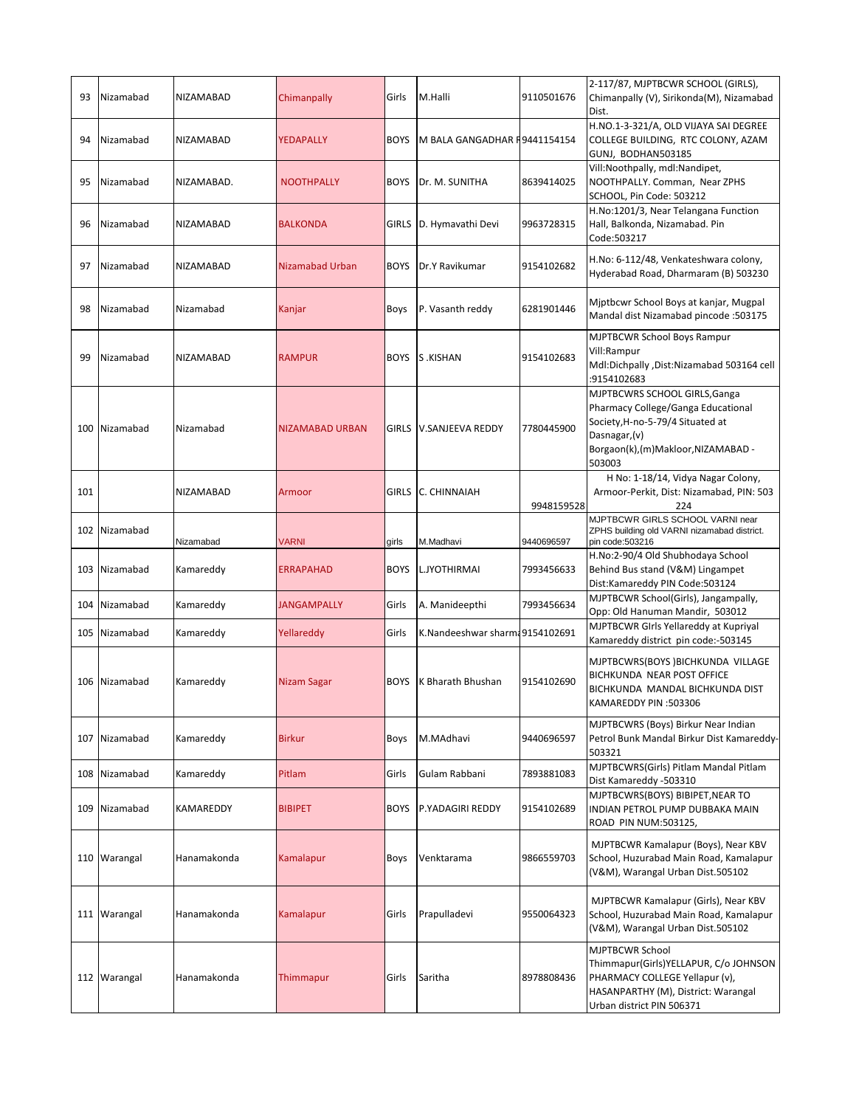| 93  | Nizamabad    | NIZAMABAD        | Chimanpally        | Girls        | M.Halli                         | 9110501676 | 2-117/87, MJPTBCWR SCHOOL (GIRLS),<br>Chimanpally (V), Sirikonda(M), Nizamabad<br>Dist.                                                                                 |
|-----|--------------|------------------|--------------------|--------------|---------------------------------|------------|-------------------------------------------------------------------------------------------------------------------------------------------------------------------------|
| 94  | Nizamabad    | NIZAMABAD        | YEDAPALLY          | <b>BOYS</b>  | M BALA GANGADHAR F9441154154    |            | H.NO.1-3-321/A, OLD VIJAYA SAI DEGREE<br>COLLEGE BUILDING, RTC COLONY, AZAM<br>GUNJ, BODHAN503185                                                                       |
| 95  | Nizamabad    | NIZAMABAD.       | <b>NOOTHPALLY</b>  | <b>BOYS</b>  | Dr. M. SUNITHA                  | 8639414025 | Vill:Noothpally, mdl:Nandipet,<br>NOOTHPALLY. Comman, Near ZPHS<br>SCHOOL, Pin Code: 503212                                                                             |
| 96  | Nizamabad    | <b>NIZAMABAD</b> | <b>BALKONDA</b>    | GIRLS        | D. Hymavathi Devi               | 9963728315 | H.No:1201/3, Near Telangana Function<br>Hall, Balkonda, Nizamabad. Pin<br>Code: 503217                                                                                  |
| 97  | Nizamabad    | <b>NIZAMABAD</b> | Nizamabad Urban    | <b>BOYS</b>  | Dr.Y Ravikumar                  | 9154102682 | H.No: 6-112/48, Venkateshwara colony,<br>Hyderabad Road, Dharmaram (B) 503230                                                                                           |
| 98  | Nizamabad    | Nizamabad        | Kanjar             | Boys         | P. Vasanth reddy                | 6281901446 | Mjptbcwr School Boys at kanjar, Mugpal<br>Mandal dist Nizamabad pincode : 503175                                                                                        |
| 99  | Nizamabad    | <b>NIZAMABAD</b> | <b>RAMPUR</b>      | <b>BOYS</b>  | S.KISHAN                        | 9154102683 | <b>MJPTBCWR School Boys Rampur</b><br>Vill:Rampur<br>Mdl:Dichpally ,Dist:Nizamabad 503164 cell<br>:9154102683                                                           |
| 100 | Nizamabad    | Nizamabad        | NIZAMABAD URBAN    | GIRLS        | V.SANJEEVA REDDY                | 7780445900 | MJPTBCWRS SCHOOL GIRLS, Ganga<br>Pharmacy College/Ganga Educational<br>Society, H-no-5-79/4 Situated at<br>Dasnagar, (v)<br>Borgaon(k),(m)Makloor,NIZAMABAD -<br>503003 |
| 101 |              | NIZAMABAD        | Armoor             | <b>GIRLS</b> | C. CHINNAIAH                    | 9948159528 | H No: 1-18/14, Vidya Nagar Colony,<br>Armoor-Perkit, Dist: Nizamabad, PIN: 503<br>224                                                                                   |
| 102 | Nizamabad    | Nizamabad        | <b>VARNI</b>       | girls        | M.Madhavi                       | 9440696597 | MJPTBCWR GIRLS SCHOOL VARNI near<br>ZPHS building old VARNI nizamabad district.<br>pin code:503216                                                                      |
| 103 | Nizamabad    | Kamareddy        | ERRAPAHAD          | <b>BOYS</b>  | L.JYOTHIRMAI                    | 7993456633 | H.No:2-90/4 Old Shubhodaya School<br>Behind Bus stand (V&M) Lingampet<br>Dist:Kamareddy PIN Code:503124                                                                 |
| 104 | Nizamabad    | Kamareddy        | <b>JANGAMPALLY</b> | Girls        | A. Manideepthi                  | 7993456634 | MJPTBCWR School(Girls), Jangampally,<br>Opp: Old Hanuman Mandir, 503012                                                                                                 |
| 105 | Nizamabad    | Kamareddy        | Yellareddy         | Girls        | K.Nandeeshwar sharm: 9154102691 |            | MJPTBCWR GIrls Yellareddy at Kupriyal<br>Kamareddy district pin code:-503145                                                                                            |
| 106 | Nizamabad    | Kamareddy        | Nizam Sagar        | BOYS         | K Bharath Bhushan               | 9154102690 | MJPTBCWRS(BOYS)BICHKUNDA VILLAGE<br>BICHKUNDA NEAR POST OFFICE<br>BICHKUNDA MANDAL BICHKUNDA DIST<br>SO3306: KAMAREDDY PIN                                              |
| 107 | Nizamabad    | Kamareddy        | <b>Birkur</b>      | Boys         | M.MAdhavi                       | 9440696597 | MJPTBCWRS (Boys) Birkur Near Indian<br>Petrol Bunk Mandal Birkur Dist Kamareddy-<br>503321                                                                              |
| 108 | Nizamabad    | Kamareddy        | Pitlam             | Girls        | Gulam Rabbani                   | 7893881083 | MJPTBCWRS(Girls) Pitlam Mandal Pitlam<br>Dist Kamareddy -503310                                                                                                         |
| 109 | Nizamabad    | <b>KAMAREDDY</b> | <b>BIBIPET</b>     | <b>BOYS</b>  | P.YADAGIRI REDDY                | 9154102689 | MJPTBCWRS(BOYS) BIBIPET, NEAR TO<br>INDIAN PETROL PUMP DUBBAKA MAIN<br>ROAD PIN NUM:503125,                                                                             |
|     | 110 Warangal | Hanamakonda      | Kamalapur          | <b>Boys</b>  | Venktarama                      | 9866559703 | MJPTBCWR Kamalapur (Boys), Near KBV<br>School, Huzurabad Main Road, Kamalapur<br>(V&M), Warangal Urban Dist.505102                                                      |
|     | 111 Warangal | Hanamakonda      | Kamalapur          | Girls        | Prapulladevi                    | 9550064323 | MJPTBCWR Kamalapur (Girls), Near KBV<br>School, Huzurabad Main Road, Kamalapur<br>(V&M), Warangal Urban Dist.505102                                                     |
|     | 112 Warangal | Hanamakonda      | Thimmapur          | Girls        | Saritha                         | 8978808436 | <b>MJPTBCWR School</b><br>Thimmapur(Girls)YELLAPUR, C/o JOHNSON<br>PHARMACY COLLEGE Yellapur (v),<br>HASANPARTHY (M), District: Warangal<br>Urban district PIN 506371   |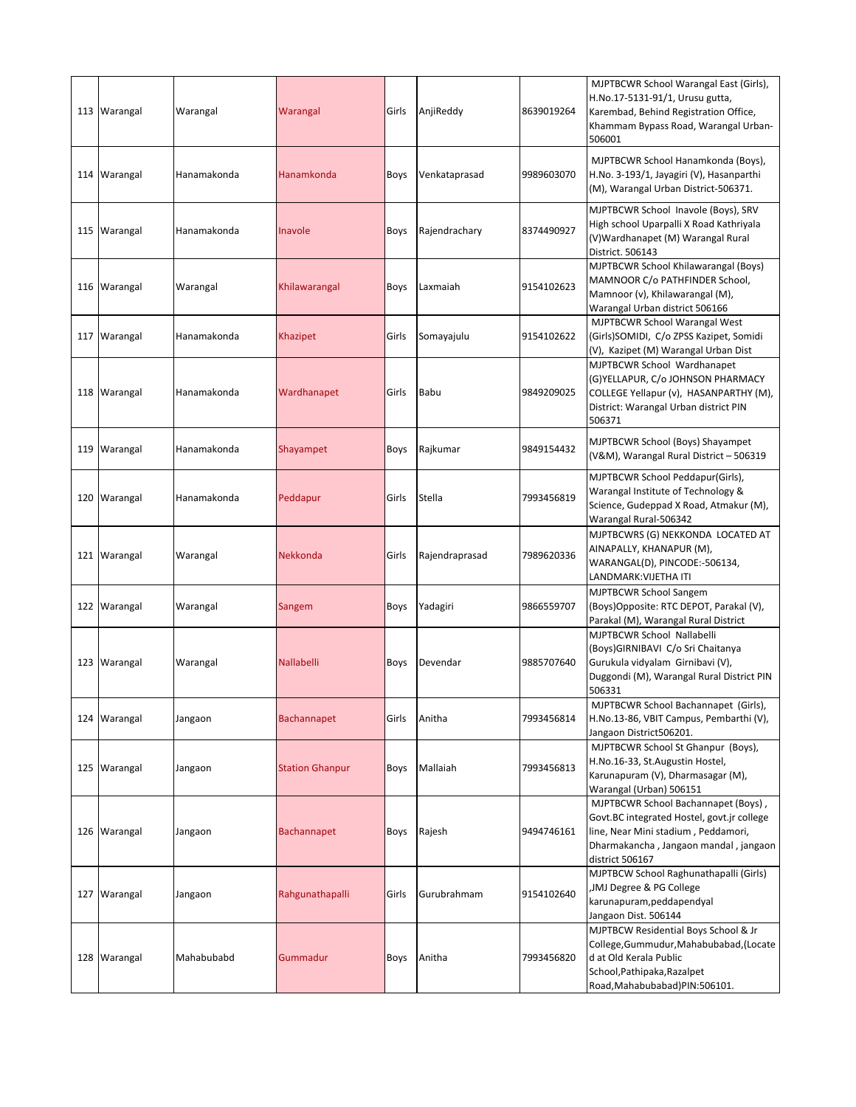|     | 113 Warangal | Warangal    | Warangal               | Girls       | AnjiReddy      | 8639019264 | MJPTBCWR School Warangal East (Girls),<br>H.No.17-5131-91/1, Urusu gutta,<br>Karembad, Behind Registration Office,<br>Khammam Bypass Road, Warangal Urban-<br>506001                 |
|-----|--------------|-------------|------------------------|-------------|----------------|------------|--------------------------------------------------------------------------------------------------------------------------------------------------------------------------------------|
|     | 114 Warangal | Hanamakonda | Hanamkonda             | Boys        | Venkataprasad  | 9989603070 | MJPTBCWR School Hanamkonda (Boys),<br>H.No. 3-193/1, Jayagiri (V), Hasanparthi<br>(M), Warangal Urban District-506371.                                                               |
| 115 | Warangal     | Hanamakonda | Inavole                | <b>Boys</b> | Rajendrachary  | 8374490927 | MJPTBCWR School Inavole (Boys), SRV<br>High school Uparpalli X Road Kathriyala<br>(V) Wardhanapet (M) Warangal Rural<br>District. 506143                                             |
|     | 116 Warangal | Warangal    | Khilawarangal          | Boys        | Laxmaiah       | 9154102623 | MJPTBCWR School Khilawarangal (Boys)<br>MAMNOOR C/o PATHFINDER School,<br>Mamnoor (v), Khilawarangal (M),<br>Warangal Urban district 506166                                          |
|     | 117 Warangal | Hanamakonda | Khazipet               | Girls       | Somayajulu     | 9154102622 | MJPTBCWR School Warangal West<br>(Girls)SOMIDI, C/o ZPSS Kazipet, Somidi<br>(V), Kazipet (M) Warangal Urban Dist                                                                     |
|     | 118 Warangal | Hanamakonda | Wardhanapet            | Girls       | Babu           | 9849209025 | MJPTBCWR School Wardhanapet<br>(G)YELLAPUR, C/o JOHNSON PHARMACY<br>COLLEGE Yellapur (v), HASANPARTHY (M),<br>District: Warangal Urban district PIN<br>506371                        |
| 119 | Warangal     | Hanamakonda | Shayampet              | Boys        | Rajkumar       | 9849154432 | MJPTBCWR School (Boys) Shayampet<br>(V&M), Warangal Rural District - 506319                                                                                                          |
| 120 | Warangal     | Hanamakonda | Peddapur               | Girls       | Stella         | 7993456819 | MJPTBCWR School Peddapur(Girls),<br>Warangal Institute of Technology &<br>Science, Gudeppad X Road, Atmakur (M),<br>Warangal Rural-506342                                            |
|     | 121 Warangal | Warangal    | Nekkonda               | Girls       | Rajendraprasad | 7989620336 | MJPTBCWRS (G) NEKKONDA LOCATED AT<br>AINAPALLY, KHANAPUR (M),<br>WARANGAL(D), PINCODE:-506134,<br>LANDMARK:VIJETHA ITI                                                               |
|     | 122 Warangal | Warangal    | Sangem                 | Boys        | Yadagiri       | 9866559707 | <b>MJPTBCWR School Sangem</b><br>(Boys)Opposite: RTC DEPOT, Parakal (V),<br>Parakal (M), Warangal Rural District                                                                     |
|     | 123 Warangal | Warangal    | <b>Nallabelli</b>      | Boys        | Devendar       | 9885707640 | MJPTBCWR School Nallabelli<br>(Boys) GIRNIBAVI C/o Sri Chaitanya<br>Gurukula vidyalam Girnibavi (V),<br>Duggondi (M), Warangal Rural District PIN<br>506331                          |
|     | 124 Warangal | Jangaon     | <b>Bachannapet</b>     | Girls       | Anitha         | 7993456814 | MJPTBCWR School Bachannapet (Girls),<br>H.No.13-86, VBIT Campus, Pembarthi (V),<br>Jangaon District506201.                                                                           |
|     | 125 Warangal | Jangaon     | <b>Station Ghanpur</b> | Boys        | Mallaiah       | 7993456813 | MJPTBCWR School St Ghanpur (Boys),<br>H.No.16-33, St.Augustin Hostel,<br>Karunapuram (V), Dharmasagar (M),<br>Warangal (Urban) 506151                                                |
|     | 126 Warangal | Jangaon     | <b>Bachannapet</b>     | Boys        | Rajesh         | 9494746161 | MJPTBCWR School Bachannapet (Boys),<br>Govt.BC integrated Hostel, govt.jr college<br>line, Near Mini stadium, Peddamori,<br>Dharmakancha, Jangaon mandal, jangaon<br>district 506167 |
| 127 | Warangal     | Jangaon     | Rahgunathapalli        | Girls       | Gurubrahmam    | 9154102640 | MJPTBCW School Raghunathapalli (Girls)<br>JMJ Degree & PG College<br>karunapuram, peddapendyal<br>Jangaon Dist. 506144                                                               |
|     | 128 Warangal | Mahabubabd  | Gummadur               | Boys        | Anitha         | 7993456820 | MJPTBCW Residential Boys School & Jr<br>College, Gummudur, Mahabubabad, (Locate<br>d at Old Kerala Public<br>School, Pathipaka, Razalpet<br>Road, Mahabubabad) PIN: 506101.          |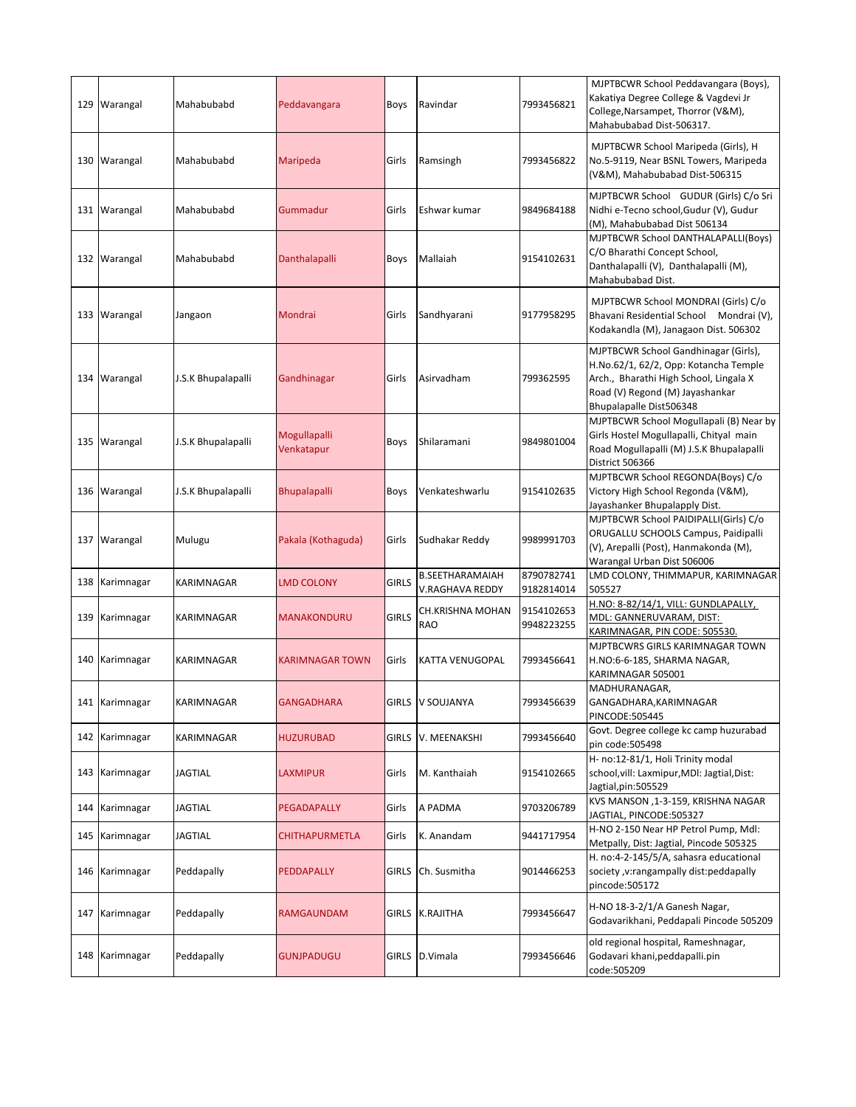|     | 129 Warangal   | Mahabubabd         | Peddavangara               | Boys         | Ravindar                                  | 7993456821               | MJPTBCWR School Peddavangara (Boys),<br>Kakatiya Degree College & Vagdevi Jr<br>College, Narsampet, Thorror (V&M),<br>Mahabubabad Dist-506317.                                        |
|-----|----------------|--------------------|----------------------------|--------------|-------------------------------------------|--------------------------|---------------------------------------------------------------------------------------------------------------------------------------------------------------------------------------|
|     | 130   Warangal | Mahabubabd         | Maripeda                   | Girls        | Ramsingh                                  | 7993456822               | MJPTBCWR School Maripeda (Girls), H<br>No.5-9119, Near BSNL Towers, Maripeda<br>(V&M), Mahabubabad Dist-506315                                                                        |
|     | 131 Warangal   | Mahabubabd         | Gummadur                   | Girls        | Eshwar kumar                              | 9849684188               | MJPTBCWR School GUDUR (Girls) C/o Sri<br>Nidhi e-Tecno school,Gudur (V), Gudur<br>(M), Mahabubabad Dist 506134                                                                        |
|     | 132 Warangal   | Mahabubabd         | Danthalapalli              | Boys         | Mallaiah                                  | 9154102631               | MJPTBCWR School DANTHALAPALLI(Boys)<br>C/O Bharathi Concept School,<br>Danthalapalli (V), Danthalapalli (M),<br>Mahabubabad Dist.                                                     |
| 133 | Warangal       | Jangaon            | Mondrai                    | Girls        | Sandhyarani                               | 9177958295               | MJPTBCWR School MONDRAI (Girls) C/o<br>Bhavani Residential School Mondrai (V),<br>Kodakandla (M), Janagaon Dist. 506302                                                               |
|     | 134 Warangal   | J.S.K Bhupalapalli | Gandhinagar                | Girls        | Asirvadham                                | 799362595                | MJPTBCWR School Gandhinagar (Girls),<br>H.No.62/1, 62/2, Opp: Kotancha Temple<br>Arch., Bharathi High School, Lingala X<br>Road (V) Regond (M) Jayashankar<br>Bhupalapalle Dist506348 |
|     | 135 Warangal   | J.S.K Bhupalapalli | Mogullapalli<br>Venkatapur | Boys         | Shilaramani                               | 9849801004               | MJPTBCWR School Mogullapali (B) Near by<br>Girls Hostel Mogullapalli, Chityal main<br>Road Mogullapalli (M) J.S.K Bhupalapalli<br>District 506366                                     |
|     | 136 Warangal   | J.S.K Bhupalapalli | <b>Bhupalapalli</b>        | <b>Boys</b>  | Venkateshwarlu                            | 9154102635               | MJPTBCWR School REGONDA(Boys) C/o<br>Victory High School Regonda (V&M),<br>Jayashanker Bhupalapply Dist.                                                                              |
|     | 137 Warangal   | Mulugu             | Pakala (Kothaguda)         | Girls        | Sudhakar Reddy                            | 9989991703               | MJPTBCWR School PAIDIPALLI(Girls) C/o<br>ORUGALLU SCHOOLS Campus, Paidipalli<br>(V), Arepalli (Post), Hanmakonda (M),<br>Warangal Urban Dist 506006                                   |
| 138 | Karimnagar     | KARIMNAGAR         | <b>LMD COLONY</b>          | <b>GIRLS</b> | <b>B.SEETHARAMAIAH</b><br>V.RAGHAVA REDDY | 8790782741<br>9182814014 | LMD COLONY, THIMMAPUR, KARIMNAGAR<br>505527                                                                                                                                           |
| 139 | Karimnagar     | KARIMNAGAR         | <b>MANAKONDURU</b>         | <b>GIRLS</b> | CH.KRISHNA MOHAN<br><b>RAO</b>            | 9154102653<br>9948223255 | H.NO: 8-82/14/1, VILL: GUNDLAPALLY,<br>MDL: GANNERUVARAM, DIST:<br><u>KARIMNAGAR, PIN CODE: 505530.</u>                                                                               |
| 140 | Karimnagar     | KARIMNAGAR         | KARIMNAGAR TOWN            | Girls        | KATTA VENUGOPAL                           | 7993456641               | MJPTBCWRS GIRLS KARIMNAGAR TOWN<br>H.NO:6-6-185, SHARMA NAGAR,<br>KARIMNAGAR 505001                                                                                                   |
|     | 141 Karimnagar | KARIMNAGAR         | <b>GANGADHARA</b>          |              | GIRLS V SOUJANYA                          | 7993456639               | MADHURANAGAR,<br>GANGADHARA, KARIMNAGAR<br>PINCODE:505445                                                                                                                             |
|     | 142 Karimnagar | KARIMNAGAR         | HUZURUBAD                  |              | GIRLS V. MEENAKSHI                        | 7993456640               | Govt. Degree college kc camp huzurabad<br>pin code:505498                                                                                                                             |
|     | 143 Karimnagar | JAGTIAL            | LAXMIPUR                   | Girls        | M. Kanthaiah                              | 9154102665               | H- no:12-81/1, Holi Trinity modal<br>school, vill: Laxmipur, MDI: Jagtial, Dist:<br>Jagtial,pin:505529                                                                                |
| 144 | Karimnagar     | JAGTIAL            | PEGADAPALLY                | Girls        | A PADMA                                   | 9703206789               | KVS MANSON ,1-3-159, KRISHNA NAGAR<br>JAGTIAL, PINCODE:505327                                                                                                                         |
|     | 145 Karimnagar | <b>JAGTIAL</b>     | CHITHAPURMETLA             | Girls        | K. Anandam                                | 9441717954               | H-NO 2-150 Near HP Petrol Pump, Mdl:<br>Metpally, Dist: Jagtial, Pincode 505325                                                                                                       |
|     | 146 Karimnagar | Peddapally         | PEDDAPALLY                 | <b>GIRLS</b> | Ch. Susmitha                              | 9014466253               | H. no:4-2-145/5/A, sahasra educational<br>society , v:rangampally dist:peddapally<br>pincode:505172                                                                                   |
|     | 147 Karimnagar | Peddapally         | RAMGAUNDAM                 | GIRLS        | K.RAJITHA                                 | 7993456647               | H-NO 18-3-2/1/A Ganesh Nagar,<br>Godavarikhani, Peddapali Pincode 505209                                                                                                              |
|     | 148 Karimnagar | Peddapally         | GUNJPADUGU                 | GIRLS        | D.Vimala                                  | 7993456646               | old regional hospital, Rameshnagar,<br>Godavari khani, peddapalli. pin<br>code:505209                                                                                                 |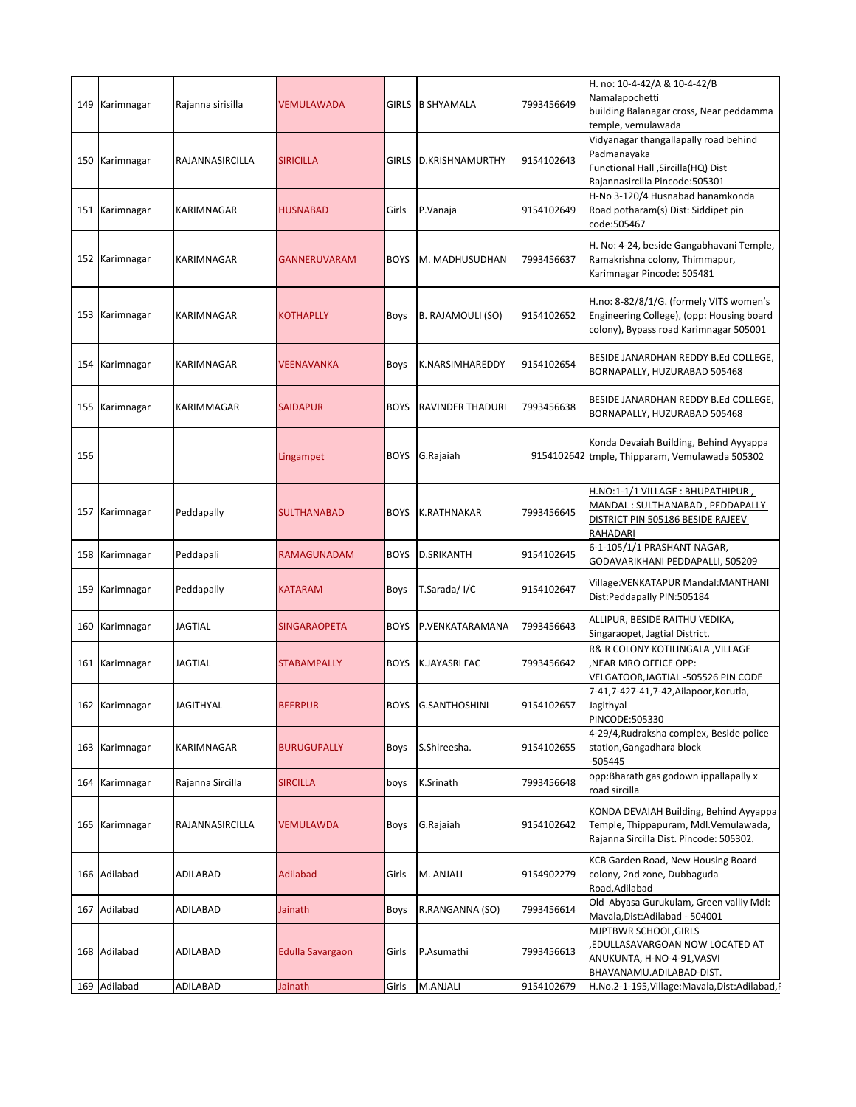| 149 | Karimnagar     | Rajanna sirisilla | <b>VEMULAWADA</b>       |             | GIRLS B SHYAMALA        | 7993456649 | H. no: 10-4-42/A & 10-4-42/B<br>Namalapochetti<br>building Balanagar cross, Near peddamma<br>temple, vemulawada                 |
|-----|----------------|-------------------|-------------------------|-------------|-------------------------|------------|---------------------------------------------------------------------------------------------------------------------------------|
|     | 150 Karimnagar | RAJANNASIRCILLA   | <b>SIRICILLA</b>        |             | GIRLS D.KRISHNAMURTHY   | 9154102643 | Vidyanagar thangallapally road behind<br>Padmanayaka<br>Functional Hall , Sircilla (HQ) Dist<br>Rajannasircilla Pincode: 505301 |
|     | 151 Karimnagar | KARIMNAGAR        | <b>HUSNABAD</b>         | Girls       | P.Vanaja                | 9154102649 | H-No 3-120/4 Husnabad hanamkonda<br>Road potharam(s) Dist: Siddipet pin<br>code:505467                                          |
|     | 152 Karimnagar | KARIMNAGAR        | <b>GANNERUVARAM</b>     | <b>BOYS</b> | M. MADHUSUDHAN          | 7993456637 | H. No: 4-24, beside Gangabhavani Temple,<br>Ramakrishna colony, Thimmapur,<br>Karimnagar Pincode: 505481                        |
| 153 | Karimnagar     | KARIMNAGAR        | <b>KOTHAPLLY</b>        | Boys        | B. RAJAMOULI (SO)       | 9154102652 | H.no: 8-82/8/1/G. (formely VITS women's<br>Engineering College), (opp: Housing board<br>colony), Bypass road Karimnagar 505001  |
| 154 | Karimnagar     | <b>KARIMNAGAR</b> | <b>VEENAVANKA</b>       | <b>Boys</b> | K.NARSIMHAREDDY         | 9154102654 | BESIDE JANARDHAN REDDY B.Ed COLLEGE,<br>BORNAPALLY, HUZURABAD 505468                                                            |
|     | 155 Karimnagar | KARIMMAGAR        | <b>SAIDAPUR</b>         | <b>BOYS</b> | <b>RAVINDER THADURI</b> | 7993456638 | BESIDE JANARDHAN REDDY B.Ed COLLEGE,<br>BORNAPALLY, HUZURABAD 505468                                                            |
| 156 |                |                   | Lingampet               | <b>BOYS</b> | G.Rajaiah               |            | Konda Devaiah Building, Behind Ayyappa<br>9154102642 tmple, Thipparam, Vemulawada 505302                                        |
|     | 157 Karimnagar | Peddapally        | <b>SULTHANABAD</b>      | <b>BOYS</b> | K.RATHNAKAR             | 7993456645 | H.NO:1-1/1 VILLAGE : BHUPATHIPUR ,<br>MANDAL : SULTHANABAD , PEDDAPALLY<br>DISTRICT PIN 505186 BESIDE RAJEEV<br>RAHADARI        |
|     | 158 Karimnagar | Peddapali         | RAMAGUNADAM             | <b>BOYS</b> | <b>D.SRIKANTH</b>       | 9154102645 | 6-1-105/1/1 PRASHANT NAGAR,<br>GODAVARIKHANI PEDDAPALLI, 505209                                                                 |
| 159 | Karimnagar     | Peddapally        | <b>KATARAM</b>          | Boys        | T.Sarada/I/C            | 9154102647 | Village: VENKATAPUR Mandal: MANTHANI<br>Dist:Peddapally PIN:505184                                                              |
| 160 | Karimnagar     | <b>JAGTIAL</b>    | <b>SINGARAOPETA</b>     | <b>BOYS</b> | P.VENKATARAMANA         | 7993456643 | ALLIPUR, BESIDE RAITHU VEDIKA,<br>Singaraopet, Jagtial District.                                                                |
|     | 161 Karimnagar | <b>JAGTIAL</b>    | <b>STABAMPALLY</b>      | <b>BOYS</b> | <b>K.JAYASRI FAC</b>    | 7993456642 | R& R COLONY KOTILINGALA , VILLAGE<br>NEAR MRO OFFICE OPP:<br>VELGATOOR, JAGTIAL -505526 PIN CODE                                |
|     | 162 Karimnagar | <b>JAGITHYAL</b>  | <b>BEERPUR</b>          | BOYS        | <b>G.SANTHOSHINI</b>    | 9154102657 | 7-41,7-427-41,7-42,Ailapoor,Korutla,<br>Jagithyal<br>PINCODE:505330                                                             |
|     | 163 Karimnagar | KARIMNAGAR        | <b>BURUGUPALLY</b>      | Boys        | S.Shireesha.            | 9154102655 | 4-29/4, Rudraksha complex, Beside police<br>station, Gangadhara block<br>-505445                                                |
| 164 | Karimnagar     | Rajanna Sircilla  | <b>SIRCILLA</b>         | boys        | K.Srinath               | 7993456648 | opp: Bharath gas godown ippallapally x<br>road sircilla                                                                         |
| 165 | Karimnagar     | RAJANNASIRCILLA   | <b>VEMULAWDA</b>        | Boys        | G.Rajaiah               | 9154102642 | KONDA DEVAIAH Building, Behind Ayyappa<br>Temple, Thippapuram, Mdl.Vemulawada,<br>Rajanna Sircilla Dist. Pincode: 505302.       |
|     | 166 Adilabad   | ADILABAD          | <b>Adilabad</b>         | Girls       | M. ANJALI               | 9154902279 | KCB Garden Road, New Housing Board<br>colony, 2nd zone, Dubbaguda<br>Road, Adilabad                                             |
| 167 | Adilabad       | ADILABAD          | Jainath                 | Boys        | R.RANGANNA (SO)         | 7993456614 | Old Abyasa Gurukulam, Green valliy Mdl:<br>Mavala, Dist: Adilabad - 504001                                                      |
| 168 | Adilabad       | ADILABAD          | <b>Edulla Savargaon</b> | Girls       | P.Asumathi              | 7993456613 | MJPTBWR SCHOOL, GIRLS<br>EDULLASAVARGOAN NOW LOCATED AT<br>ANUKUNTA, H-NO-4-91, VASVI<br>BHAVANAMU.ADILABAD-DIST.               |
|     | 169 Adilabad   | ADILABAD          | Jainath                 | Girls       | M.ANJALI                | 9154102679 | H.No.2-1-195, Village: Mavala, Dist: Adilabad, F                                                                                |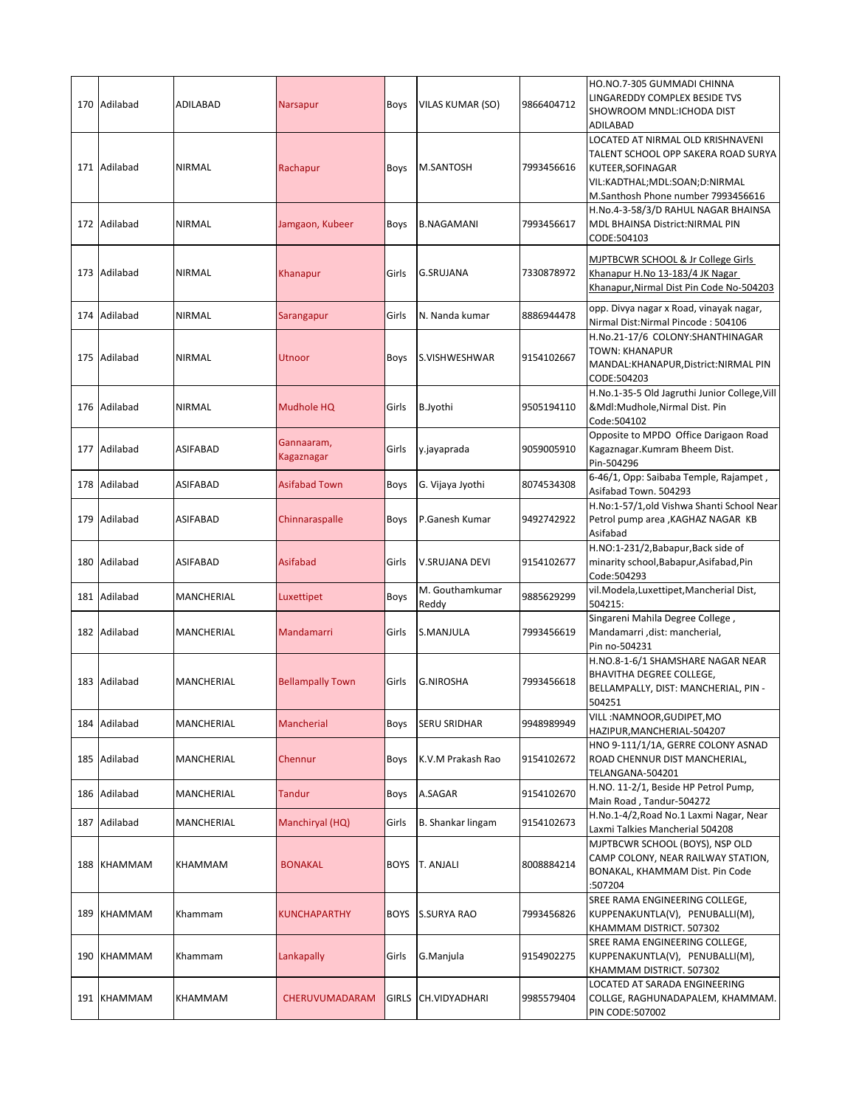|     | 170 Adilabad | ADILABAD          | <b>Narsapur</b>          | <b>Boys</b> | <b>VILAS KUMAR (SO)</b>  | 9866404712 | HO.NO.7-305 GUMMADI CHINNA<br>LINGAREDDY COMPLEX BESIDE TVS<br>SHOWROOM MNDL:ICHODA DIST<br><b>ADILABAD</b>                                                          |
|-----|--------------|-------------------|--------------------------|-------------|--------------------------|------------|----------------------------------------------------------------------------------------------------------------------------------------------------------------------|
|     | 171 Adilabad | <b>NIRMAL</b>     | Rachapur                 | Boys        | M.SANTOSH                | 7993456616 | LOCATED AT NIRMAL OLD KRISHNAVENI<br>TALENT SCHOOL OPP SAKERA ROAD SURYA<br>KUTEER, SOFINAGAR<br>VIL:KADTHAL;MDL:SOAN;D:NIRMAL<br>M.Santhosh Phone number 7993456616 |
|     | 172 Adilabad | <b>NIRMAL</b>     | Jamgaon, Kubeer          | Boys        | <b>B.NAGAMANI</b>        | 7993456617 | H.No.4-3-58/3/D RAHUL NAGAR BHAINSA<br>MDL BHAINSA District:NIRMAL PIN<br>CODE:504103                                                                                |
|     | 173 Adilabad | <b>NIRMAL</b>     | Khanapur                 | Girls       | G.SRUJANA                | 7330878972 | MJPTBCWR SCHOOL & Jr College Girls<br>Khanapur H.No 13-183/4 JK Nagar<br>Khanapur, Nirmal Dist Pin Code No-504203                                                    |
|     | 174 Adilabad | <b>NIRMAL</b>     | Sarangapur               | Girls       | N. Nanda kumar           | 8886944478 | opp. Divya nagar x Road, vinayak nagar,<br>Nirmal Dist:Nirmal Pincode: 504106                                                                                        |
|     | 175 Adilabad | <b>NIRMAL</b>     | Utnoor                   | Boys        | S.VISHWESHWAR            | 9154102667 | H.No.21-17/6 COLONY:SHANTHINAGAR<br><b>TOWN: KHANAPUR</b><br>MANDAL: KHANAPUR, District: NIRMAL PIN<br>CODE:504203                                                   |
|     | 176 Adilabad | <b>NIRMAL</b>     | Mudhole HQ               | Girls       | B.Jyothi                 | 9505194110 | H.No.1-35-5 Old Jagruthi Junior College, Vill<br>&Mdl:Mudhole,Nirmal Dist. Pin<br>Code: 504102                                                                       |
| 177 | Adilabad     | <b>ASIFABAD</b>   | Gannaaram,<br>Kagaznagar | Girls       | y.jayaprada              | 9059005910 | Opposite to MPDO Office Darigaon Road<br>Kagaznagar.Kumram Bheem Dist.<br>Pin-504296                                                                                 |
|     | 178 Adilabad | <b>ASIFABAD</b>   | <b>Asifabad Town</b>     | Boys        | G. Vijaya Jyothi         | 8074534308 | 6-46/1, Opp: Saibaba Temple, Rajampet,<br>Asifabad Town. 504293                                                                                                      |
| 179 | Adilabad     | ASIFABAD          | Chinnaraspalle           | Boys        | P.Ganesh Kumar           | 9492742922 | H.No:1-57/1,old Vishwa Shanti School Near<br>Petrol pump area , KAGHAZ NAGAR KB<br>Asifabad                                                                          |
|     | 180 Adilabad | <b>ASIFABAD</b>   | <b>Asifabad</b>          | Girls       | V.SRUJANA DEVI           | 9154102677 | H.NO:1-231/2, Babapur, Back side of<br>minarity school, Babapur, Asifabad, Pin<br>Code: 504293                                                                       |
|     | 181 Adilabad | MANCHERIAL        | Luxettipet               | Boys        | M. Gouthamkumar<br>Reddy | 9885629299 | vil.Modela, Luxettipet, Mancherial Dist,<br>504215:                                                                                                                  |
|     | 182 Adilabad | MANCHERIAL        | <b>Mandamarri</b>        | Girls       | S.MANJULA                | 7993456619 | Singareni Mahila Degree College,<br>Mandamarri, dist: mancherial,<br>Pin no-504231                                                                                   |
|     | 183 Adilabad | <b>MANCHERIAL</b> | <b>Bellampally Town</b>  | Girls       | <b>G.NIROSHA</b>         | 7993456618 | H.NO.8-1-6/1 SHAMSHARE NAGAR NEAR<br><b>BHAVITHA DEGREE COLLEGE,</b><br>BELLAMPALLY, DIST: MANCHERIAL, PIN -<br>504251                                               |
|     | 184 Adilabad | MANCHERIAL        | Mancherial               | Boys        | SERU SRIDHAR             | 9948989949 | VILL:NAMNOOR, GUDIPET, MO<br>HAZIPUR, MANCHERIAL-504207                                                                                                              |
| 185 | Adilabad     | <b>MANCHERIAL</b> | Chennur                  | Boys        | K.V.M Prakash Rao        | 9154102672 | HNO 9-111/1/1A, GERRE COLONY ASNAD<br>ROAD CHENNUR DIST MANCHERIAL,<br>TELANGANA-504201                                                                              |
| 186 | Adilabad     | MANCHERIAL        | Tandur                   | Boys        | A.SAGAR                  | 9154102670 | H.NO. 11-2/1, Beside HP Petrol Pump,<br>Main Road, Tandur-504272                                                                                                     |
|     | 187 Adilabad | MANCHERIAL        | Manchiryal (HQ)          | Girls       | B. Shankar lingam        | 9154102673 | H.No.1-4/2,Road No.1 Laxmi Nagar, Near<br>Laxmi Talkies Mancherial 504208                                                                                            |
|     | 188 KHAMMAM  | KHAMMAM           | <b>BONAKAL</b>           | <b>BOYS</b> | T. ANJALI                | 8008884214 | MJPTBCWR SCHOOL (BOYS), NSP OLD<br>CAMP COLONY, NEAR RAILWAY STATION,<br>BONAKAL, KHAMMAM Dist. Pin Code<br>:507204                                                  |
| 189 | KHAMMAM      | Khammam           | KUNCHAPARTHY             | <b>BOYS</b> | <b>S.SURYA RAO</b>       | 7993456826 | SREE RAMA ENGINEERING COLLEGE,<br>KUPPENAKUNTLA(V), PENUBALLI(M),<br>KHAMMAM DISTRICT. 507302                                                                        |
|     | 190 KHAMMAM  | Khammam           | Lankapally               | Girls       | G.Manjula                | 9154902275 | SREE RAMA ENGINEERING COLLEGE,<br>KUPPENAKUNTLA(V), PENUBALLI(M),<br>KHAMMAM DISTRICT. 507302                                                                        |
|     | 191 KHAMMAM  | KHAMMAM           | CHERUVUMADARAM           | GIRLS       | CH.VIDYADHARI            | 9985579404 | LOCATED AT SARADA ENGINEERING<br>COLLGE, RAGHUNADAPALEM, KHAMMAM.<br>PIN CODE:507002                                                                                 |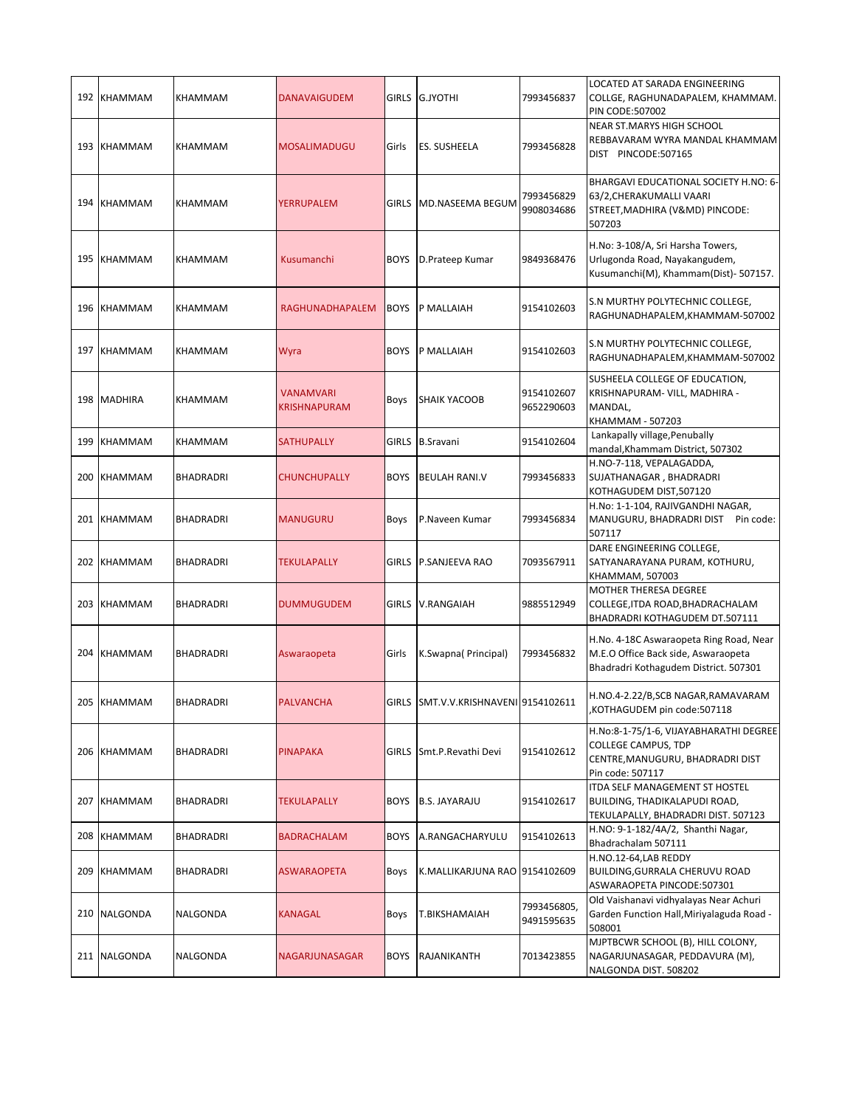|     | 192 KHAMMAM    | KHAMMAM          | <b>DANAVAIGUDEM</b>                     | <b>GIRLS</b> | <b>G.JYOTHI</b>                      | 7993456837                | <b>LOCATED AT SARADA ENGINEERING</b><br>COLLGE, RAGHUNADAPALEM, KHAMMAM.<br>PIN CODE:507002                                  |
|-----|----------------|------------------|-----------------------------------------|--------------|--------------------------------------|---------------------------|------------------------------------------------------------------------------------------------------------------------------|
|     | 193 KHAMMAM    | KHAMMAM          | <b>MOSALIMADUGU</b>                     | Girls        | ES. SUSHEELA                         | 7993456828                | NEAR ST.MARYS HIGH SCHOOL<br>REBBAVARAM WYRA MANDAL KHAMMAM<br>DIST PINCODE:507165                                           |
| 194 | <b>KHAMMAM</b> | KHAMMAM          | YERRUPALEM                              | <b>GIRLS</b> | MD.NASEEMA BEGUM                     | 7993456829<br>9908034686  | BHARGAVI EDUCATIONAL SOCIETY H.NO: 6-<br>63/2, CHERAKUMALLI VAARI<br>STREET, MADHIRA (V&MD) PINCODE:<br>507203               |
|     | 195 KHAMMAM    | <b>KHAMMAM</b>   | Kusumanchi                              | <b>BOYS</b>  | D.Prateep Kumar                      | 9849368476                | H.No: 3-108/A, Sri Harsha Towers,<br>Urlugonda Road, Nayakangudem,<br>Kusumanchi(M), Khammam(Dist)- 507157.                  |
|     | 196 KHAMMAM    | <b>KHAMMAM</b>   | RAGHUNADHAPALEM                         | <b>BOYS</b>  | P MALLAIAH                           | 9154102603                | S.N MURTHY POLYTECHNIC COLLEGE,<br>RAGHUNADHAPALEM, KHAMMAM-507002                                                           |
| 197 | KHAMMAM        | KHAMMAM          | Wyra                                    | <b>BOYS</b>  | P MALLAIAH                           | 9154102603                | S.N MURTHY POLYTECHNIC COLLEGE,<br>RAGHUNADHAPALEM, KHAMMAM-507002                                                           |
|     | 198 MADHIRA    | KHAMMAM          | <b>VANAMVARI</b><br><b>KRISHNAPURAM</b> | Boys         | <b>SHAIK YACOOB</b>                  | 9154102607<br>9652290603  | SUSHEELA COLLEGE OF EDUCATION,<br>KRISHNAPURAM- VILL, MADHIRA -<br>MANDAL,<br>KHAMMAM - 507203                               |
| 199 | <b>KHAMMAM</b> | KHAMMAM          | <b>SATHUPALLY</b>                       | <b>GIRLS</b> | <b>B.Sravani</b>                     | 9154102604                | Lankapally village, Penubally<br>mandal, Khammam District, 507302                                                            |
| 200 | KHAMMAM        | <b>BHADRADRI</b> | <b>CHUNCHUPALLY</b>                     | <b>BOYS</b>  | <b>BEULAH RANI.V</b>                 | 7993456833                | H.NO-7-118, VEPALAGADDA,<br>SUJATHANAGAR, BHADRADRI<br>KOTHAGUDEM DIST,507120                                                |
|     | 201 KHAMMAM    | <b>BHADRADRI</b> | <b>MANUGURU</b>                         | Boys         | P.Naveen Kumar                       | 7993456834                | H.No: 1-1-104, RAJIVGANDHI NAGAR,<br>MANUGURU, BHADRADRI DIST<br>Pin code:<br>507117                                         |
|     | 202 KHAMMAM    | <b>BHADRADRI</b> | TEKULAPALLY                             | <b>GIRLS</b> | P.SANJEEVA RAO                       | 7093567911                | DARE ENGINEERING COLLEGE,<br>SATYANARAYANA PURAM, KOTHURU,<br>KHAMMAM, 507003                                                |
|     | 203 KHAMMAM    | <b>BHADRADRI</b> | <b>DUMMUGUDEM</b>                       | GIRLS        | <b>V.RANGAIAH</b>                    | 9885512949                | MOTHER THERESA DEGREE<br>COLLEGE, ITDA ROAD, BHADRACHALAM<br>BHADRADRI KOTHAGUDEM DT.507111                                  |
|     | 204 KHAMMAM    | BHADRADRI        | Aswaraopeta                             | Girls        | K.Swapna(Principal)                  | 7993456832                | H.No. 4-18C Aswaraopeta Ring Road, Near<br>M.E.O Office Back side, Aswaraopeta<br>Bhadradri Kothagudem District. 507301      |
|     | 205 KHAMMAM    | <b>BHADRADRI</b> | <b>PALVANCHA</b>                        |              | GIRLS SMT.V.V.KRISHNAVENI 9154102611 |                           | H.NO.4-2.22/B,SCB NAGAR,RAMAVARAM<br>KOTHAGUDEM pin code:507118,                                                             |
|     | 206 KHAMMAM    | <b>BHADRADRI</b> | <b>PINAPAKA</b>                         | <b>GIRLS</b> | Smt.P.Revathi Devi                   | 9154102612                | H.No:8-1-75/1-6, VIJAYABHARATHI DEGREE<br><b>COLLEGE CAMPUS, TDP</b><br>CENTRE, MANUGURU, BHADRADRI DIST<br>Pin code: 507117 |
|     | 207 KHAMMAM    | BHADRADRI        | TEKULAPALLY                             | <b>BOYS</b>  | <b>B.S. JAYARAJU</b>                 | 9154102617                | ITDA SELF MANAGEMENT ST HOSTEL<br>BUILDING, THADIKALAPUDI ROAD,<br>TEKULAPALLY, BHADRADRI DIST. 507123                       |
|     | 208 KHAMMAM    | <b>BHADRADRI</b> | <b>BADRACHALAM</b>                      | <b>BOYS</b>  | A.RANGACHARYULU                      | 9154102613                | H.NO: 9-1-182/4A/2, Shanthi Nagar,<br>Bhadrachalam 507111                                                                    |
| 209 | KHAMMAM        | BHADRADRI        | ASWARAOPETA                             | Boys         | K.MALLIKARJUNA RAO 9154102609        |                           | H.NO.12-64,LAB REDDY<br>BUILDING, GURRALA CHERUVU ROAD<br>ASWARAOPETA PINCODE:507301                                         |
|     | 210 NALGONDA   | NALGONDA         | KANAGAL                                 | Boys         | T.BIKSHAMAIAH                        | 7993456805,<br>9491595635 | Old Vaishanavi vidhyalayas Near Achuri<br>Garden Function Hall, Miriyalaguda Road -<br>508001                                |
|     | 211 NALGONDA   | NALGONDA         | NAGARJUNASAGAR                          | <b>BOYS</b>  | RAJANIKANTH                          | 7013423855                | MJPTBCWR SCHOOL (B), HILL COLONY,<br>NAGARJUNASAGAR, PEDDAVURA (M),<br>NALGONDA DIST. 508202                                 |
|     |                |                  |                                         |              |                                      |                           |                                                                                                                              |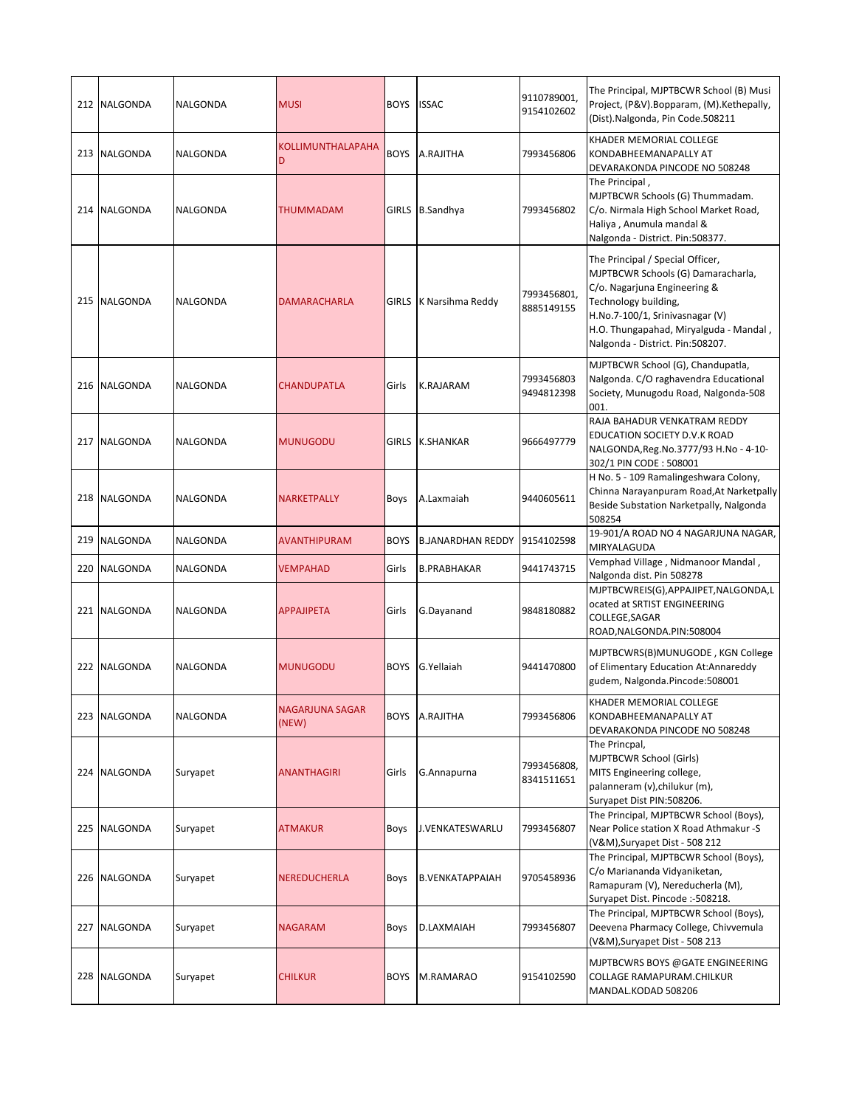|     | 212 NALGONDA    | <b>NALGONDA</b> | <b>MUSI</b>                     | <b>BOYS</b>  | <b>ISSAC</b>                 | 9110789001,<br>9154102602 | The Principal, MJPTBCWR School (B) Musi<br>Project, (P&V). Bopparam, (M). Kethepally,<br>(Dist).Nalgonda, Pin Code.508211                                                                                                                       |
|-----|-----------------|-----------------|---------------------------------|--------------|------------------------------|---------------------------|-------------------------------------------------------------------------------------------------------------------------------------------------------------------------------------------------------------------------------------------------|
|     | 213 NALGONDA    | NALGONDA        | <b>KOLLIMUNTHALAPAHA</b><br>D   | <b>BOYS</b>  | A.RAJITHA                    | 7993456806                | KHADER MEMORIAL COLLEGE<br>KONDABHEEMANAPALLY AT<br>DEVARAKONDA PINCODE NO 508248                                                                                                                                                               |
|     | 214 NALGONDA    | NALGONDA        | THUMMADAM                       |              | GIRLS B.Sandhya              | 7993456802                | The Principal,<br>MJPTBCWR Schools (G) Thummadam.<br>C/o. Nirmala High School Market Road,<br>Haliya, Anumula mandal &<br>Nalgonda - District. Pin:508377.                                                                                      |
|     | 215 NALGONDA    | <b>NALGONDA</b> | <b>DAMARACHARLA</b>             | <b>GIRLS</b> | K Narsihma Reddy             | 7993456801,<br>8885149155 | The Principal / Special Officer,<br>MJPTBCWR Schools (G) Damaracharla,<br>C/o. Nagarjuna Engineering &<br>Technology building,<br>H.No.7-100/1, Srinivasnagar (V)<br>H.O. Thungapahad, Miryalguda - Mandal,<br>Nalgonda - District. Pin:508207. |
|     | 216 NALGONDA    | NALGONDA        | CHANDUPATLA                     | Girls        | <b>K.RAJARAM</b>             | 7993456803<br>9494812398  | MJPTBCWR School (G), Chandupatla,<br>Nalgonda. C/O raghavendra Educational<br>Society, Munugodu Road, Nalgonda-508<br>001.                                                                                                                      |
|     | 217 NALGONDA    | NALGONDA        | <b>MUNUGODU</b>                 | <b>GIRLS</b> | <b>K.SHANKAR</b>             | 9666497779                | RAJA BAHADUR VENKATRAM REDDY<br>EDUCATION SOCIETY D.V.K ROAD<br>NALGONDA,Reg.No.3777/93 H.No - 4-10-<br>302/1 PIN CODE: 508001                                                                                                                  |
|     | 218 NALGONDA    | NALGONDA        | NARKETPALLY                     | Boys         | A.Laxmaiah                   | 9440605611                | H No. 5 - 109 Ramalingeshwara Colony,<br>Chinna Narayanpuram Road, At Narketpally<br>Beside Substation Narketpally, Nalgonda<br>508254                                                                                                          |
| 219 | <b>NALGONDA</b> | NALGONDA        | <b>AVANTHIPURAM</b>             | <b>BOYS</b>  | B.JANARDHAN REDDY 9154102598 |                           | 19-901/A ROAD NO 4 NAGARJUNA NAGAR,<br>MIRYALAGUDA                                                                                                                                                                                              |
| 220 | <b>NALGONDA</b> | NALGONDA        | <b>VEMPAHAD</b>                 | Girls        | <b>B.PRABHAKAR</b>           | 9441743715                | Vemphad Village, Nidmanoor Mandal,<br>Nalgonda dist. Pin 508278                                                                                                                                                                                 |
|     | 221 NALGONDA    | <b>NALGONDA</b> | APPAJIPETA                      | Girls        | G.Dayanand                   | 9848180882                | MJPTBCWREIS(G),APPAJIPET,NALGONDA,L<br>ocated at SRTIST ENGINEERING<br>COLLEGE, SAGAR<br>ROAD, NALGONDA.PIN: 508004                                                                                                                             |
|     | 222 NALGONDA    | NALGONDA        | <b>MUNUGODU</b>                 | <b>BOYS</b>  | G.Yellaiah                   | 9441470800                | MJPTBCWRS(B)MUNUGODE, KGN College<br>of Elimentary Education At:Annareddy<br>gudem, Nalgonda.Pincode:508001                                                                                                                                     |
|     | 223 NALGONDA    | NALGONDA        | <b>NAGARJUNA SAGAR</b><br>(NEW) | <b>BOYS</b>  | A.RAJITHA                    | 7993456806                | KHADER MEMORIAL COLLEGE<br>KONDABHEEMANAPALLY AT<br>DEVARAKONDA PINCODE NO 508248                                                                                                                                                               |
|     | 224 NALGONDA    | Suryapet        | ANANTHAGIRI                     | Girls        | G.Annapurna                  | 7993456808,<br>8341511651 | The Princpal,<br>MJPTBCWR School (Girls)<br>MITS Engineering college,<br>palanneram (v),chilukur (m),<br>Suryapet Dist PIN:508206.                                                                                                              |
| 225 | <b>NALGONDA</b> | Suryapet        | ATMAKUR                         | Boys         | J.VENKATESWARLU              | 7993456807                | The Principal, MJPTBCWR School (Boys),<br>Near Police station X Road Athmakur -S<br>(V&M), Suryapet Dist - 508 212                                                                                                                              |
| 226 | <b>NALGONDA</b> | Suryapet        | NEREDUCHERLA                    | Boys         | <b>B.VENKATAPPAIAH</b>       | 9705458936                | The Principal, MJPTBCWR School (Boys),<br>C/o Mariananda Vidyaniketan,<br>Ramapuram (V), Nereducherla (M),<br>Suryapet Dist. Pincode :-508218.                                                                                                  |
| 227 | NALGONDA        | Suryapet        | NAGARAM                         | Boys         | D.LAXMAIAH                   | 7993456807                | The Principal, MJPTBCWR School (Boys),<br>Deevena Pharmacy College, Chivvemula<br>(V&M),Suryapet Dist - 508 213                                                                                                                                 |
| 228 | <b>NALGONDA</b> | Suryapet        | <b>CHILKUR</b>                  | <b>BOYS</b>  | M.RAMARAO                    | 9154102590                | MJPTBCWRS BOYS @GATE ENGINEERING<br>COLLAGE RAMAPURAM.CHILKUR<br>MANDAL.KODAD 508206                                                                                                                                                            |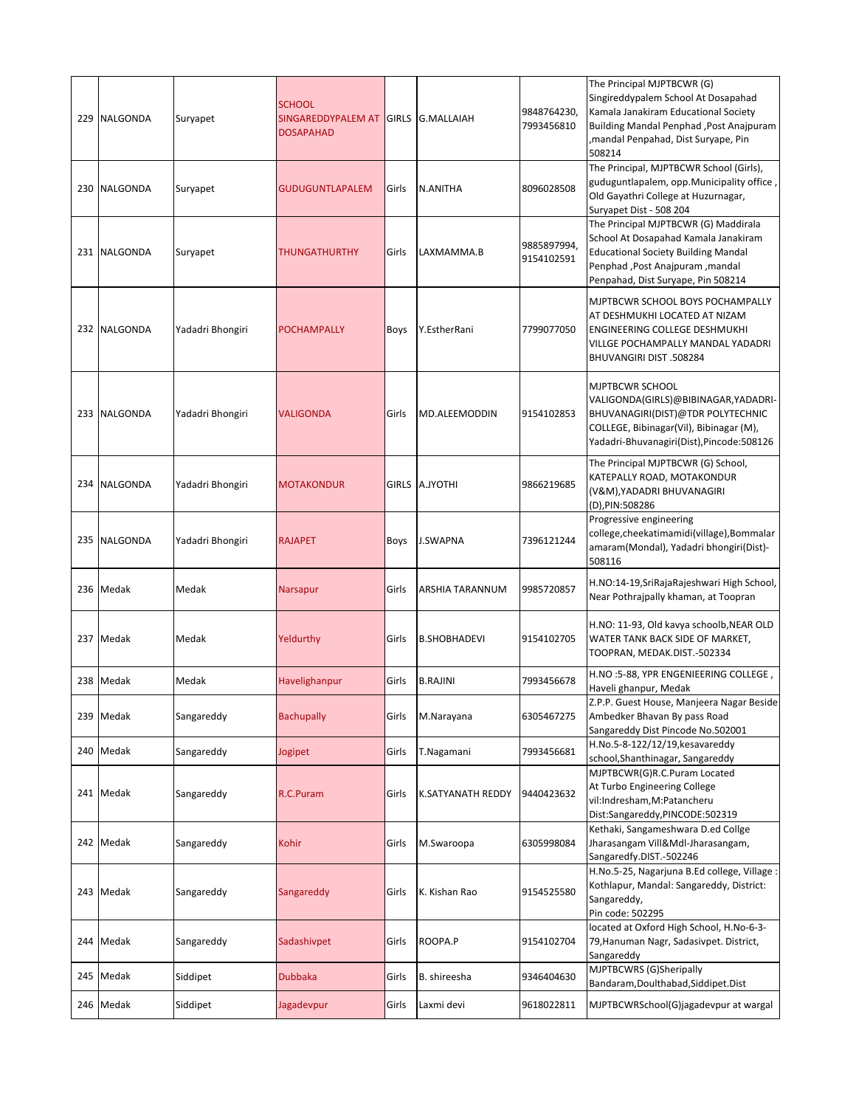|     | 229 NALGONDA | Suryapet         | <b>SCHOOL</b><br>SINGAREDDYPALEM AT GIRLS<br><b>DOSAPAHAD</b> |       | <b>G.MALLAIAH</b>   | 9848764230.<br>7993456810 | The Principal MJPTBCWR (G)<br>Singireddypalem School At Dosapahad<br>Kamala Janakiram Educational Society<br>Building Mandal Penphad, Post Anajpuram<br>mandal Penpahad, Dist Suryape, Pin,<br>508214 |
|-----|--------------|------------------|---------------------------------------------------------------|-------|---------------------|---------------------------|-------------------------------------------------------------------------------------------------------------------------------------------------------------------------------------------------------|
|     | 230 NALGONDA | Suryapet         | GUDUGUNTLAPALEM                                               | Girls | N.ANITHA            | 8096028508                | The Principal, MJPTBCWR School (Girls),<br>guduguntlapalem, opp.Municipality office,<br>Old Gayathri College at Huzurnagar,<br>Suryapet Dist - 508 204                                                |
|     | 231 NALGONDA | Suryapet         | THUNGATHURTHY                                                 | Girls | LAXMAMMA.B          | 9885897994,<br>9154102591 | The Principal MJPTBCWR (G) Maddirala<br>School At Dosapahad Kamala Janakiram<br><b>Educational Society Building Mandal</b><br>Penphad , Post Anajpuram , mandal<br>Penpahad, Dist Suryape, Pin 508214 |
|     | 232 NALGONDA | Yadadri Bhongiri | <b>POCHAMPALLY</b>                                            | Boys  | Y.EstherRani        | 7799077050                | MJPTBCWR SCHOOL BOYS POCHAMPALLY<br>AT DESHMUKHI LOCATED AT NIZAM<br>ENGINEERING COLLEGE DESHMUKHI<br>VILLGE POCHAMPALLY MANDAL YADADRI<br>BHUVANGIRI DIST .508284                                    |
|     | 233 NALGONDA | Yadadri Bhongiri | <b>VALIGONDA</b>                                              | Girls | MD.ALEEMODDIN       | 9154102853                | MJPTBCWR SCHOOL<br>VALIGONDA(GIRLS)@BIBINAGAR, YADADRI-<br>BHUVANAGIRI(DIST)@TDR POLYTECHNIC<br>COLLEGE, Bibinagar(Vil), Bibinagar (M),<br>Yadadri-Bhuvanagiri(Dist), Pincode: 508126                 |
|     | 234 NALGONDA | Yadadri Bhongiri | <b>MOTAKONDUR</b>                                             |       | GIRLS A.JYOTHI      | 9866219685                | The Principal MJPTBCWR (G) School,<br>KATEPALLY ROAD, MOTAKONDUR<br>(V&M), YADADRI BHUVANAGIRI<br>(D),PIN:508286                                                                                      |
| 235 | NALGONDA     | Yadadri Bhongiri | <b>RAJAPET</b>                                                | Boys  | <b>J.SWAPNA</b>     | 7396121244                | Progressive engineering<br>college, cheekatimamidi(village), Bommalar<br>amaram(Mondal), Yadadri bhongiri(Dist)-<br>508116                                                                            |
|     | 236 Medak    | Medak            | Narsapur                                                      | Girls | ARSHIA TARANNUM     | 9985720857                | H.NO:14-19, SriRajaRajeshwari High School,<br>Near Pothrajpally khaman, at Toopran                                                                                                                    |
|     | 237 Medak    | Medak            | Yeldurthy                                                     | Girls | <b>B.SHOBHADEVI</b> | 9154102705                | H.NO: 11-93, Old kavya schoolb, NEAR OLD<br>WATER TANK BACK SIDE OF MARKET,<br>TOOPRAN, MEDAK.DIST.-502334                                                                                            |
| 238 | Medak        | Medak            | Havelighanpur                                                 | Girls | <b>B.RAJINI</b>     | 7993456678                | H.NO:5-88, YPR ENGENIEERING COLLEGE,<br>Haveli ghanpur, Medak                                                                                                                                         |
|     | 239 Medak    | Sangareddy       | <b>Bachupally</b>                                             | Girls | M.Narayana          | 6305467275                | Z.P.P. Guest House, Manjeera Nagar Beside<br>Ambedker Bhavan By pass Road<br>Sangareddy Dist Pincode No.502001                                                                                        |
|     | 240 Medak    | Sangareddy       | Jogipet                                                       | Girls | T.Nagamani          | 7993456681                | H.No.5-8-122/12/19, kesavareddy<br>school, Shanthinagar, Sangareddy                                                                                                                                   |
|     | 241 Medak    | Sangareddy       | R.C.Puram                                                     | Girls | K.SATYANATH REDDY   | 9440423632                | MJPTBCWR(G)R.C.Puram Located<br>At Turbo Engineering College<br>vil:Indresham,M:Patancheru<br>Dist:Sangareddy,PINCODE:502319                                                                          |
|     | 242 Medak    | Sangareddy       | Kohir                                                         | Girls | M.Swaroopa          | 6305998084                | Kethaki, Sangameshwara D.ed Collge<br>Jharasangam Vill&Mdl-Jharasangam,<br>Sangaredfy.DIST.-502246                                                                                                    |
|     | 243 Medak    | Sangareddy       | Sangareddy                                                    | Girls | K. Kishan Rao       | 9154525580                | H.No.5-25, Nagarjuna B.Ed college, Village :<br>Kothlapur, Mandal: Sangareddy, District:<br>Sangareddy,<br>Pin code: 502295                                                                           |
|     | 244 Medak    | Sangareddy       | Sadashivpet                                                   | Girls | ROOPA.P             | 9154102704                | located at Oxford High School, H.No-6-3-<br>79, Hanuman Nagr, Sadasivpet. District,<br>Sangareddy                                                                                                     |
| 245 | Medak        | Siddipet         | <b>Dubbaka</b>                                                | Girls | B. shireesha        | 9346404630                | MJPTBCWRS (G)Sheripally<br>Bandaram, Doulthabad, Siddipet. Dist                                                                                                                                       |
|     | 246 Medak    | Siddipet         | Jagadevpur                                                    | Girls | Laxmi devi          | 9618022811                | MJPTBCWRSchool(G)jagadevpur at wargal                                                                                                                                                                 |